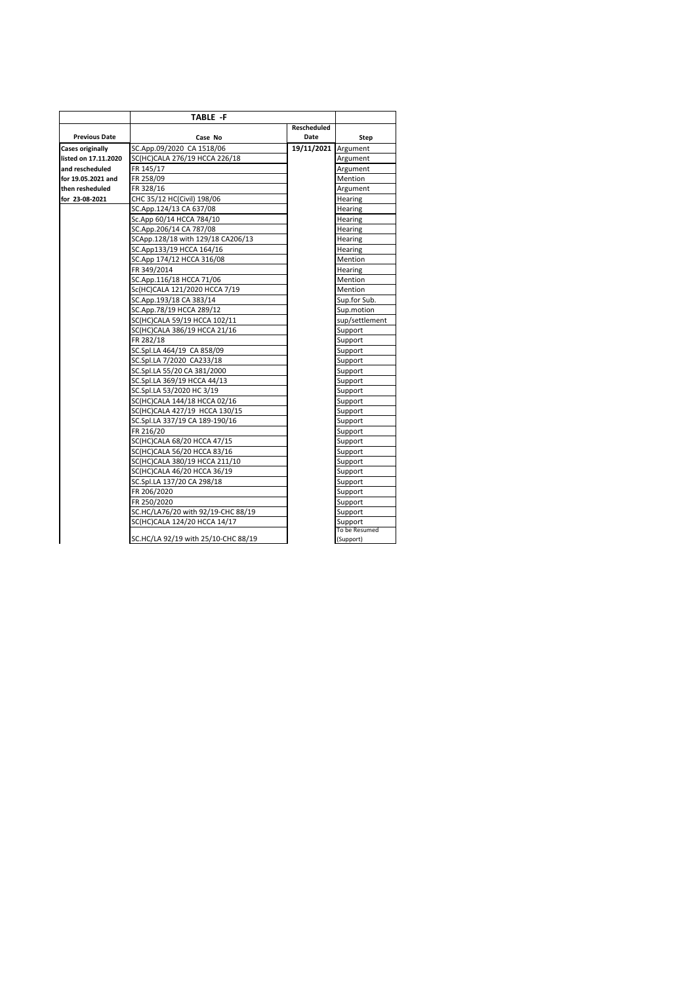|                         | <b>TABLE F</b>                      |                     |                |
|-------------------------|-------------------------------------|---------------------|----------------|
|                         |                                     | Rescheduled         |                |
| <b>Previous Date</b>    | Case No                             | Date                | Step           |
| <b>Cases originally</b> | SC.App.09/2020 CA 1518/06           | 19/11/2021 Argument |                |
| listed on 17.11.2020    | SC(HC)CALA 276/19 HCCA 226/18       |                     | Argument       |
| and rescheduled         | FR 145/17                           |                     | Argument       |
| for 19.05.2021 and      | FR 258/09                           |                     | Mention        |
| then resheduled         | FR 328/16                           |                     | Argument       |
| for 23-08-2021          | CHC 35/12 HC(Civil) 198/06          |                     | Hearing        |
|                         | SC.App.124/13 CA 637/08             |                     | Hearing        |
|                         | Sc.App 60/14 HCCA 784/10            |                     | Hearing        |
|                         | SC.App.206/14 CA 787/08             |                     | Hearing        |
|                         | SCApp.128/18 with 129/18 CA206/13   |                     | Hearing        |
|                         | SC.App133/19 HCCA 164/16            |                     | Hearing        |
|                         | SC.App 174/12 HCCA 316/08           |                     | Mention        |
|                         | FR 349/2014                         |                     | Hearing        |
|                         | SC.App.116/18 HCCA 71/06            |                     | <b>Mention</b> |
|                         | Sc(HC)CALA 121/2020 HCCA 7/19       |                     | Mention        |
|                         | SC.App.193/18 CA 383/14             |                     | Sup.for Sub.   |
|                         | SC.App.78/19 HCCA 289/12            |                     | Sup.motion     |
|                         | SC(HC)CALA 59/19 HCCA 102/11        |                     | sup/settlement |
|                         | SC(HC)CALA 386/19 HCCA 21/16        |                     | Support        |
|                         | FR 282/18                           |                     | Support        |
|                         | SC.Spl.LA 464/19 CA 858/09          |                     | Support        |
|                         | SC.Spl.LA 7/2020 CA233/18           |                     | Support        |
|                         | SC.Spl.LA 55/20 CA 381/2000         |                     | Support        |
|                         | SC.Spl.LA 369/19 HCCA 44/13         |                     | Support        |
|                         | SC.Spl.LA 53/2020 HC 3/19           |                     | Support        |
|                         | SC(HC)CALA 144/18 HCCA 02/16        |                     | Support        |
|                         | SC(HC)CALA 427/19 HCCA 130/15       |                     | Support        |
|                         | SC.Spl.LA 337/19 CA 189-190/16      |                     | Support        |
|                         | FR 216/20                           |                     | Support        |
|                         | SC(HC)CALA 68/20 HCCA 47/15         |                     | Support        |
|                         | SC(HC)CALA 56/20 HCCA 83/16         |                     | Support        |
|                         | SC(HC)CALA 380/19 HCCA 211/10       |                     | Support        |
|                         | SC(HC)CALA 46/20 HCCA 36/19         |                     | Support        |
|                         | SC.Spl.LA 137/20 CA 298/18          |                     | Support        |
|                         | FR 206/2020                         |                     | Support        |
|                         | FR 250/2020                         |                     | Support        |
|                         | SC.HC/LA76/20 with 92/19-CHC 88/19  |                     | Support        |
|                         | SC(HC)CALA 124/20 HCCA 14/17        |                     | Support        |
|                         |                                     |                     | To be Resumed  |
|                         | SC.HC/LA 92/19 with 25/10-CHC 88/19 |                     | (Support)      |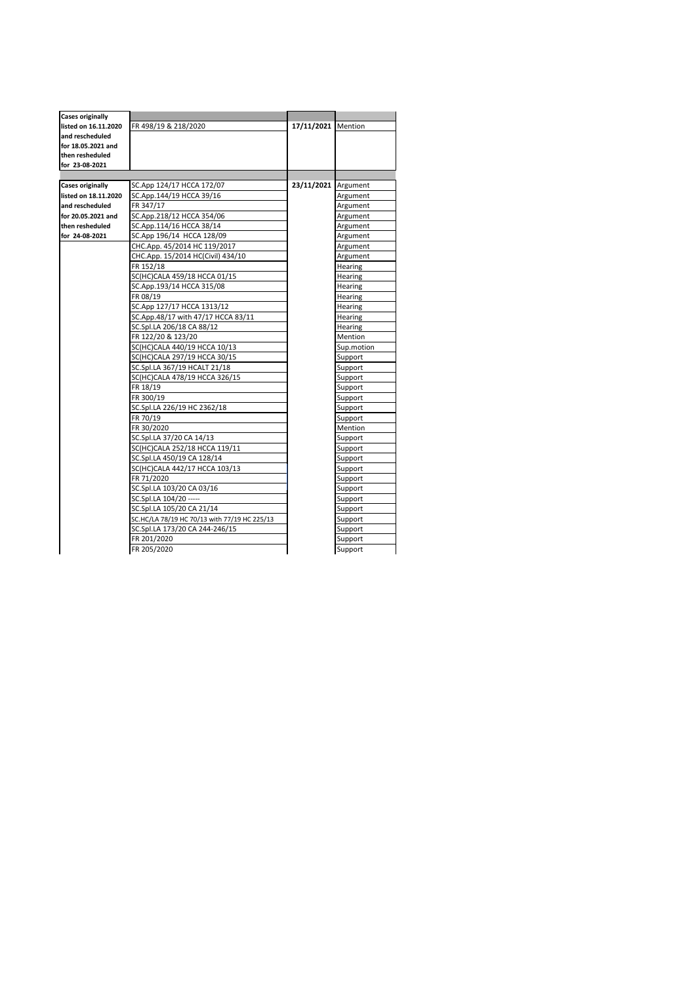| <b>Cases originally</b> |                                              |                     |            |
|-------------------------|----------------------------------------------|---------------------|------------|
| listed on 16.11.2020    | FR 498/19 & 218/2020                         | 17/11/2021 Mention  |            |
| and rescheduled         |                                              |                     |            |
| for 18.05.2021 and      |                                              |                     |            |
| then resheduled         |                                              |                     |            |
| for 23-08-2021          |                                              |                     |            |
|                         |                                              |                     |            |
| <b>Cases originally</b> | SC.App 124/17 HCCA 172/07                    | 23/11/2021 Argument |            |
| listed on 18.11.2020    | SC.App.144/19 HCCA 39/16                     |                     | Argument   |
| and rescheduled         | FR 347/17                                    |                     | Argument   |
| for 20.05.2021 and      | SC.App.218/12 HCCA 354/06                    |                     | Argument   |
| then resheduled         | SC.App.114/16 HCCA 38/14                     |                     | Argument   |
| for 24-08-2021          | SC.App 196/14 HCCA 128/09                    |                     | Argument   |
|                         | CHC.App. 45/2014 HC 119/2017                 |                     | Argument   |
|                         | CHC.App. 15/2014 HC(Civil) 434/10            |                     | Argument   |
|                         | FR 152/18                                    |                     | Hearing    |
|                         | SC(HC)CALA 459/18 HCCA 01/15                 |                     | Hearing    |
|                         | SC.App.193/14 HCCA 315/08                    |                     | Hearing    |
|                         | FR 08/19                                     |                     | Hearing    |
|                         | SC.App 127/17 HCCA 1313/12                   |                     | Hearing    |
|                         | SC.App.48/17 with 47/17 HCCA 83/11           |                     | Hearing    |
|                         | SC.Spl.LA 206/18 CA 88/12                    |                     | Hearing    |
|                         | FR 122/20 & 123/20                           |                     | Mention    |
|                         | SC(HC)CALA 440/19 HCCA 10/13                 |                     | Sup.motion |
|                         | SC(HC)CALA 297/19 HCCA 30/15                 |                     | Support    |
|                         | SC.Spl.LA 367/19 HCALT 21/18                 |                     | Support    |
|                         | SC(HC)CALA 478/19 HCCA 326/15                |                     | Support    |
|                         | FR 18/19                                     |                     | Support    |
|                         | FR 300/19                                    |                     | Support    |
|                         | SC.Spl.LA 226/19 HC 2362/18                  |                     | Support    |
|                         | FR 70/19                                     |                     | Support    |
|                         | FR 30/2020                                   |                     | Mention    |
|                         | SC.Spl.LA 37/20 CA 14/13                     |                     | Support    |
|                         | SC(HC)CALA 252/18 HCCA 119/11                |                     | Support    |
|                         | SC.Spl.LA 450/19 CA 128/14                   |                     | Support    |
|                         | SC(HC)CALA 442/17 HCCA 103/13                |                     | Support    |
|                         | FR 71/2020                                   |                     | Support    |
|                         | SC.Spl.LA 103/20 CA 03/16                    |                     | Support    |
|                         | SC.Spl.LA 104/20 -----                       |                     | Support    |
|                         | SC.Spl.LA 105/20 CA 21/14                    |                     | Support    |
|                         | SC.HC/LA 78/19 HC 70/13 with 77/19 HC 225/13 |                     | Support    |
|                         | SC.Spl.LA 173/20 CA 244-246/15               |                     | Support    |
|                         | FR 201/2020                                  |                     | Support    |
|                         | FR 205/2020                                  |                     | Support    |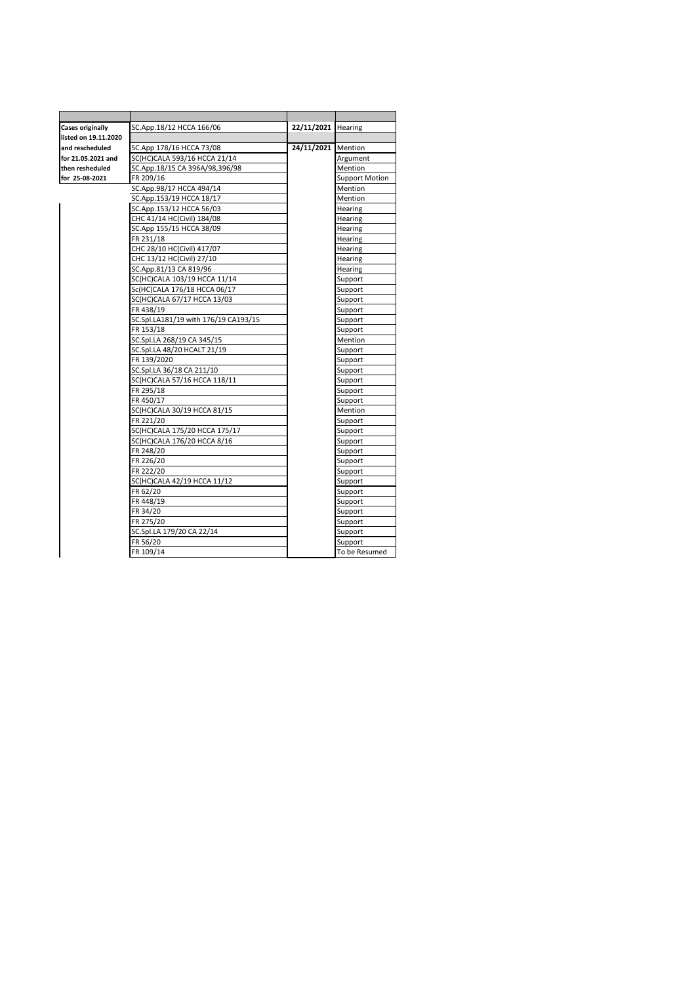| Cases originally     | SC.App.18/12 HCCA 166/06             | 22/11/2021 Hearing |                       |
|----------------------|--------------------------------------|--------------------|-----------------------|
| listed on 19.11.2020 |                                      |                    |                       |
| and rescheduled      | SC.App 178/16 HCCA 73/08             | 24/11/2021         | Mention               |
| for 21.05.2021 and   | SC(HC)CALA 593/16 HCCA 21/14         |                    | Argument              |
| then resheduled      | SC.App.18/15 CA 396A/98,396/98       |                    | Mention               |
| for 25-08-2021       | FR 209/16                            |                    | <b>Support Motion</b> |
|                      | SC.App.98/17 HCCA 494/14             |                    | Mention               |
|                      | SC.App.153/19 HCCA 18/17             |                    | Mention               |
|                      | SC.App.153/12 HCCA 56/03             |                    | Hearing               |
|                      | CHC 41/14 HC(Civil) 184/08           |                    | Hearing               |
|                      | SC.App 155/15 HCCA 38/09             |                    | Hearing               |
|                      | FR 231/18                            |                    | Hearing               |
|                      | CHC 28/10 HC(Civil) 417/07           |                    | Hearing               |
|                      | CHC 13/12 HC(Civil) 27/10            |                    | Hearing               |
|                      | SC.App.81/13 CA 819/96               |                    | Hearing               |
|                      | SC(HC)CALA 103/19 HCCA 11/14         |                    | Support               |
|                      | Sc(HC)CALA 176/18 HCCA 06/17         |                    | Support               |
|                      | SC(HC)CALA 67/17 HCCA 13/03          |                    | Support               |
|                      | FR 438/19                            |                    | Support               |
|                      | SC.Spl.LA181/19 with 176/19 CA193/15 |                    | Support               |
|                      | FR 153/18                            |                    | Support               |
|                      | SC.Spl.LA 268/19 CA 345/15           |                    | Mention               |
|                      | SC.Spl.LA 48/20 HCALT 21/19          |                    | Support               |
|                      | FR 139/2020                          |                    | Support               |
|                      | SC.Spl.LA 36/18 CA 211/10            |                    | Support               |
|                      | SC(HC)CALA 57/16 HCCA 118/11         |                    | Support               |
|                      | FR 295/18                            |                    | Support               |
|                      | FR 450/17                            |                    | Support               |
|                      | SC(HC)CALA 30/19 HCCA 81/15          |                    | Mention               |
|                      | FR 221/20                            |                    | Support               |
|                      | SC(HC)CALA 175/20 HCCA 175/17        |                    | Support               |
|                      | SC(HC)CALA 176/20 HCCA 8/16          |                    | Support               |
|                      | FR 248/20                            |                    | Support               |
|                      | FR 226/20                            |                    | Support               |
|                      | FR 222/20                            |                    | Support               |
|                      | SC(HC)CALA 42/19 HCCA 11/12          |                    | Support               |
|                      | FR 62/20                             |                    | Support               |
|                      | FR 448/19                            |                    | Support               |
|                      | FR 34/20                             |                    | Support               |
|                      | FR 275/20                            |                    | Support               |
|                      | SC.Spl.LA 179/20 CA 22/14            |                    | Support               |
|                      | FR 56/20                             |                    | Support               |
|                      | FR 109/14                            |                    | To be Resumed         |
|                      |                                      |                    |                       |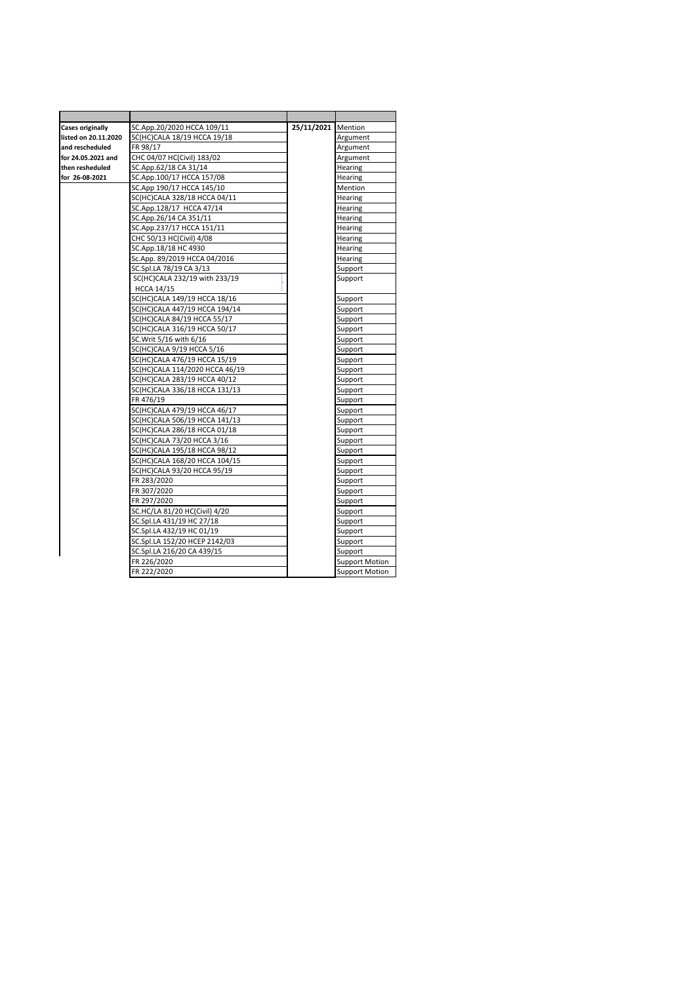| <b>Cases originally</b> | SC.App.20/2020 HCCA 109/11     | 25/11/2021 Mention |                       |
|-------------------------|--------------------------------|--------------------|-----------------------|
| listed on 20.11.2020    | SC(HC)CALA 18/19 HCCA 19/18    |                    | Argument              |
| and rescheduled         | FR 98/17                       |                    | Argument              |
| for 24.05.2021 and      | CHC 04/07 HC(Civil) 183/02     |                    | Argument              |
| then resheduled         | SC.App.62/18 CA 31/14          |                    | Hearing               |
| for 26-08-2021          |                                |                    |                       |
|                         | SC.App.100/17 HCCA 157/08      |                    | Hearing               |
|                         | SC.App 190/17 HCCA 145/10      |                    | Mention               |
|                         | SC(HC)CALA 328/18 HCCA 04/11   |                    | Hearing               |
|                         | SC.App.128/17 HCCA 47/14       |                    | Hearing               |
|                         | SC.App.26/14 CA 351/11         |                    | Hearing               |
|                         | SC.App.237/17 HCCA 151/11      |                    | Hearing               |
|                         | CHC 50/13 HC(Civil) 4/08       |                    | Hearing               |
|                         | SC.App.18/18 HC 4930           |                    | Hearing               |
|                         | Sc.App. 89/2019 HCCA 04/2016   |                    | Hearing               |
|                         | SC.Spl.LA 78/19 CA 3/13        |                    | Support               |
|                         | SC(HC)CALA 232/19 with 233/19  |                    | Support               |
|                         | <b>HCCA 14/15</b>              |                    |                       |
|                         | SC(HC)CALA 149/19 HCCA 18/16   |                    | Support               |
|                         | SC(HC)CALA 447/19 HCCA 194/14  |                    | Support               |
|                         | SC(HC)CALA 84/19 HCCA 55/17    |                    | Support               |
|                         | SC(HC)CALA 316/19 HCCA 50/17   |                    | Support               |
|                         | SC. Writ 5/16 with 6/16        |                    | Support               |
|                         | SC(HC)CALA 9/19 HCCA 5/16      |                    | Support               |
|                         | SC(HC)CALA 476/19 HCCA 15/19   |                    | Support               |
|                         | SC(HC)CALA 114/2020 HCCA 46/19 |                    | Support               |
|                         | SC(HC)CALA 283/19 HCCA 40/12   |                    | Support               |
|                         | SC(HC)CALA 336/18 HCCA 131/13  |                    | Support               |
|                         | FR 476/19                      |                    | Support               |
|                         | SC(HC)CALA 479/19 HCCA 46/17   |                    | Support               |
|                         | SC(HC)CALA 506/19 HCCA 141/13  |                    | Support               |
|                         | SC(HC)CALA 286/18 HCCA 01/18   |                    | Support               |
|                         | SC(HC)CALA 73/20 HCCA 3/16     |                    | Support               |
|                         | SC(HC)CALA 195/18 HCCA 98/12   |                    | Support               |
|                         | SC(HC)CALA 168/20 HCCA 104/15  |                    | Support               |
|                         | SC(HC)CALA 93/20 HCCA 95/19    |                    | Support               |
|                         | FR 283/2020                    |                    | Support               |
|                         | FR 307/2020                    |                    | Support               |
|                         | FR 297/2020                    |                    | Support               |
|                         | SC.HC/LA 81/20 HC(Civil) 4/20  |                    | Support               |
|                         | SC.Spl.LA 431/19 HC 27/18      |                    | Support               |
|                         | SC.Spl.LA 432/19 HC 01/19      |                    | Support               |
|                         | SC.Spl.LA 152/20 HCEP 2142/03  |                    | Support               |
|                         | SC.Spl.LA 216/20 CA 439/15     |                    | Support               |
|                         | FR 226/2020                    |                    | <b>Support Motion</b> |
|                         | FR 222/2020                    |                    | <b>Support Motion</b> |
|                         |                                |                    |                       |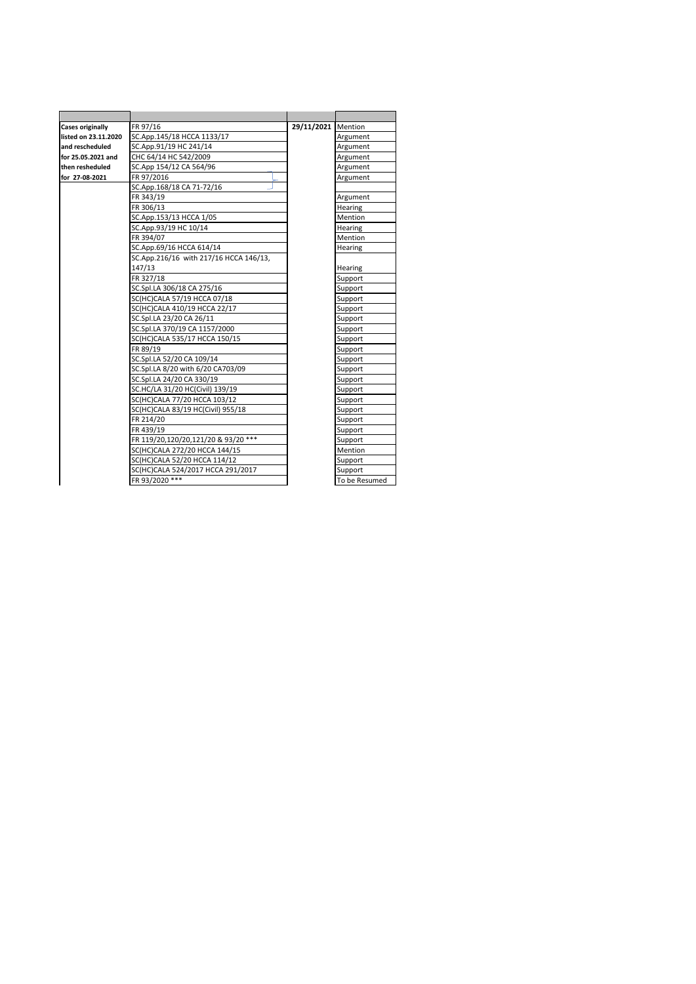| <b>Cases originally</b> | FR 97/16                               | 29/11/2021 Mention |               |
|-------------------------|----------------------------------------|--------------------|---------------|
| listed on 23.11.2020    | SC.App.145/18 HCCA 1133/17             |                    | Argument      |
| and rescheduled         | SC.App.91/19 HC 241/14                 |                    | Argument      |
| for 25.05.2021 and      | CHC 64/14 HC 542/2009                  |                    | Argument      |
| then resheduled         | SC.App 154/12 CA 564/96                |                    | Argument      |
| for 27-08-2021          | FR 97/2016                             |                    | Argument      |
|                         | SC.App.168/18 CA 71-72/16              |                    |               |
|                         | FR 343/19                              |                    | Argument      |
|                         | FR 306/13                              |                    | Hearing       |
|                         | SC.App.153/13 HCCA 1/05                |                    | Mention       |
|                         | SC.App.93/19 HC 10/14                  |                    | Hearing       |
|                         | FR 394/07                              |                    | Mention       |
|                         | SC.App.69/16 HCCA 614/14               |                    | Hearing       |
|                         | SC.App.216/16 with 217/16 HCCA 146/13, |                    |               |
|                         | 147/13                                 |                    | Hearing       |
|                         | FR 327/18                              |                    | Support       |
|                         | SC.Spl.LA 306/18 CA 275/16             |                    | Support       |
|                         | SC(HC)CALA 57/19 HCCA 07/18            |                    | Support       |
|                         | SC(HC)CALA 410/19 HCCA 22/17           |                    | Support       |
|                         | SC.Spl.LA 23/20 CA 26/11               |                    | Support       |
|                         | SC.Spl.LA 370/19 CA 1157/2000          |                    | Support       |
|                         | SC(HC)CALA 535/17 HCCA 150/15          |                    | Support       |
|                         | FR 89/19                               |                    | Support       |
|                         | SC.Spl.LA 52/20 CA 109/14              |                    | Support       |
|                         | SC.Spl.LA 8/20 with 6/20 CA703/09      |                    | Support       |
|                         | SC.Spl.LA 24/20 CA 330/19              |                    | Support       |
|                         | SC.HC/LA 31/20 HC(Civil) 139/19        |                    | Support       |
|                         | SC(HC)CALA 77/20 HCCA 103/12           |                    | Support       |
|                         | SC(HC)CALA 83/19 HC(Civil) 955/18      |                    | Support       |
|                         | FR 214/20                              |                    | Support       |
|                         | FR 439/19                              |                    | Support       |
|                         | FR 119/20,120/20,121/20 & 93/20 ***    |                    | Support       |
|                         | SC(HC)CALA 272/20 HCCA 144/15          |                    | Mention       |
|                         | SC(HC)CALA 52/20 HCCA 114/12           |                    | Support       |
|                         | SC(HC)CALA 524/2017 HCCA 291/2017      |                    | Support       |
|                         | FR 93/2020 ***                         |                    | To be Resumed |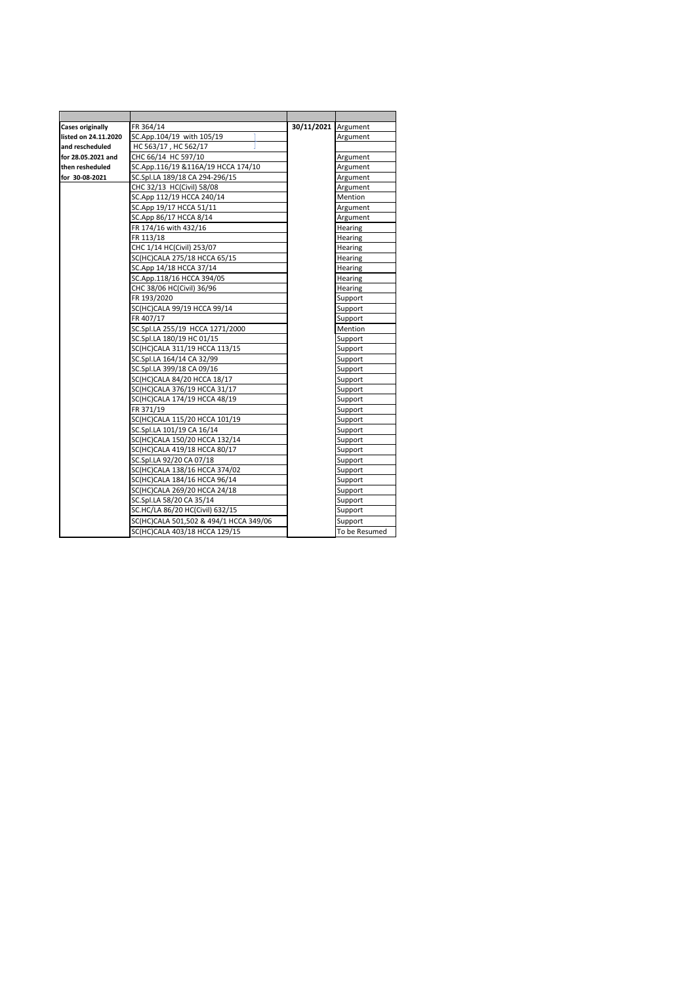| <b>Cases originally</b> | FR 364/14                              | 30/11/2021 Argument |               |
|-------------------------|----------------------------------------|---------------------|---------------|
| listed on 24.11.2020    | SC.App.104/19 with 105/19              |                     | Argument      |
| and rescheduled         | HC 563/17, HC 562/17                   |                     |               |
| for 28.05.2021 and      | CHC 66/14 HC 597/10                    |                     | Argument      |
| then resheduled         | SC.App.116/19 &116A/19 HCCA 174/10     |                     | Argument      |
| for 30-08-2021          | SC.Spl.LA 189/18 CA 294-296/15         |                     | Argument      |
|                         | CHC 32/13 HC(Civil) 58/08              |                     | Argument      |
|                         | SC.App 112/19 HCCA 240/14              |                     | Mention       |
|                         | SC.App 19/17 HCCA 51/11                |                     | Argument      |
|                         | SC.App 86/17 HCCA 8/14                 |                     | Argument      |
|                         | FR 174/16 with 432/16                  |                     | Hearing       |
|                         | FR 113/18                              |                     | Hearing       |
|                         | CHC 1/14 HC(Civil) 253/07              |                     | Hearing       |
|                         | SC(HC)CALA 275/18 HCCA 65/15           |                     | Hearing       |
|                         | SC.App 14/18 HCCA 37/14                |                     | Hearing       |
|                         | SC.App.118/16 HCCA 394/05              |                     | Hearing       |
|                         | CHC 38/06 HC(Civil) 36/96              |                     | Hearing       |
|                         | FR 193/2020                            |                     | Support       |
|                         | SC(HC)CALA 99/19 HCCA 99/14            |                     | Support       |
|                         | FR 407/17                              |                     | Support       |
|                         | SC.Spl.LA 255/19 HCCA 1271/2000        |                     | Mention       |
|                         | SC.Spl.LA 180/19 HC 01/15              |                     | Support       |
|                         | SC(HC)CALA 311/19 HCCA 113/15          |                     | Support       |
|                         | SC.Spl.LA 164/14 CA 32/99              |                     | Support       |
|                         | SC.Spl.LA 399/18 CA 09/16              |                     | Support       |
|                         | SC(HC)CALA 84/20 HCCA 18/17            |                     | Support       |
|                         | SC(HC)CALA 376/19 HCCA 31/17           |                     | Support       |
|                         | SC(HC)CALA 174/19 HCCA 48/19           |                     | Support       |
|                         | FR 371/19                              |                     | Support       |
|                         | SC(HC)CALA 115/20 HCCA 101/19          |                     | Support       |
|                         | SC.Spl.LA 101/19 CA 16/14              |                     | Support       |
|                         | SC(HC)CALA 150/20 HCCA 132/14          |                     | Support       |
|                         | SC(HC)CALA 419/18 HCCA 80/17           |                     | Support       |
|                         | SC.Spl.LA 92/20 CA 07/18               |                     | Support       |
|                         | SC(HC)CALA 138/16 HCCA 374/02          |                     | Support       |
|                         | SC(HC)CALA 184/16 HCCA 96/14           |                     | Support       |
|                         | SC(HC)CALA 269/20 HCCA 24/18           |                     | Support       |
|                         | SC.Spl.LA 58/20 CA 35/14               |                     | Support       |
|                         | SC.HC/LA 86/20 HC(Civil) 632/15        |                     | Support       |
|                         | SC(HC)CALA 501,502 & 494/1 HCCA 349/06 |                     | Support       |
|                         | SC(HC)CALA 403/18 HCCA 129/15          |                     | To be Resumed |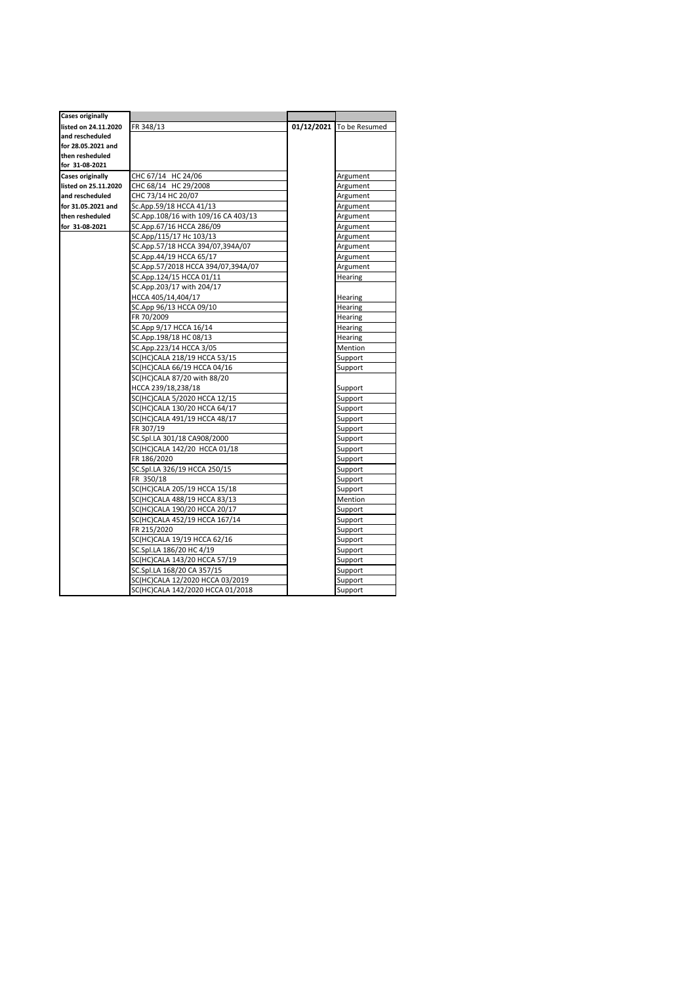| <b>Cases originally</b> |                                     |                          |
|-------------------------|-------------------------------------|--------------------------|
| listed on 24.11.2020    | FR 348/13                           | 01/12/2021 To be Resumed |
| and rescheduled         |                                     |                          |
| for 28.05.2021 and      |                                     |                          |
| then resheduled         |                                     |                          |
| for 31-08-2021          |                                     |                          |
| <b>Cases originally</b> | CHC 67/14 HC 24/06                  | Argument                 |
| listed on 25.11.2020    | CHC 68/14 HC 29/2008                | Argument                 |
| and rescheduled         | CHC 73/14 HC 20/07                  | Argument                 |
| for 31.05.2021 and      | Sc.App.59/18 HCCA 41/13             | Argument                 |
| then resheduled         | SC.App.108/16 with 109/16 CA 403/13 | Argument                 |
| for 31-08-2021          | SC.App.67/16 HCCA 286/09            | Argument                 |
|                         | SC.App/115/17 Hc 103/13             | Argument                 |
|                         | SC.App.57/18 HCCA 394/07,394A/07    | Argument                 |
|                         | SC.App.44/19 HCCA 65/17             | Argument                 |
|                         | SC.App.57/2018 HCCA 394/07,394A/07  | Argument                 |
|                         | SC.App.124/15 HCCA 01/11            | Hearing                  |
|                         | SC.App.203/17 with 204/17           |                          |
|                         | HCCA 405/14,404/17                  | Hearing                  |
|                         | SC.App 96/13 HCCA 09/10             | Hearing                  |
|                         | FR 70/2009                          | Hearing                  |
|                         | SC.App 9/17 HCCA 16/14              | Hearing                  |
|                         | SC.App.198/18 HC 08/13              | Hearing                  |
|                         | SC.App.223/14 HCCA 3/05             | Mention                  |
|                         | SC(HC)CALA 218/19 HCCA 53/15        | Support                  |
|                         | SC(HC)CALA 66/19 HCCA 04/16         | Support                  |
|                         | SC(HC)CALA 87/20 with 88/20         |                          |
|                         | HCCA 239/18,238/18                  | Support                  |
|                         | SC(HC)CALA 5/2020 HCCA 12/15        | Support                  |
|                         | SC(HC)CALA 130/20 HCCA 64/17        | Support                  |
|                         | SC(HC)CALA 491/19 HCCA 48/17        | Support                  |
|                         | FR 307/19                           | Support                  |
|                         | SC.Spl.LA 301/18 CA908/2000         | Support                  |
|                         | SC(HC)CALA 142/20 HCCA 01/18        | Support                  |
|                         | FR 186/2020                         | Support                  |
|                         | SC.Spl.LA 326/19 HCCA 250/15        | Support                  |
|                         | FR 350/18                           | Support                  |
|                         | SC(HC)CALA 205/19 HCCA 15/18        | Support                  |
|                         | SC(HC)CALA 488/19 HCCA 83/13        | Mention                  |
|                         | SC(HC)CALA 190/20 HCCA 20/17        | Support                  |
|                         | SC(HC)CALA 452/19 HCCA 167/14       | Support                  |
|                         | FR 215/2020                         | Support                  |
|                         | SC(HC)CALA 19/19 HCCA 62/16         | Support                  |
|                         | SC.Spl.LA 186/20 HC 4/19            | Support                  |
|                         | SC(HC)CALA 143/20 HCCA 57/19        | Support                  |
|                         | SC.Spl.LA 168/20 CA 357/15          | Support                  |
|                         | SC(HC)CALA 12/2020 HCCA 03/2019     | Support                  |
|                         | SC(HC)CALA 142/2020 HCCA 01/2018    | Support                  |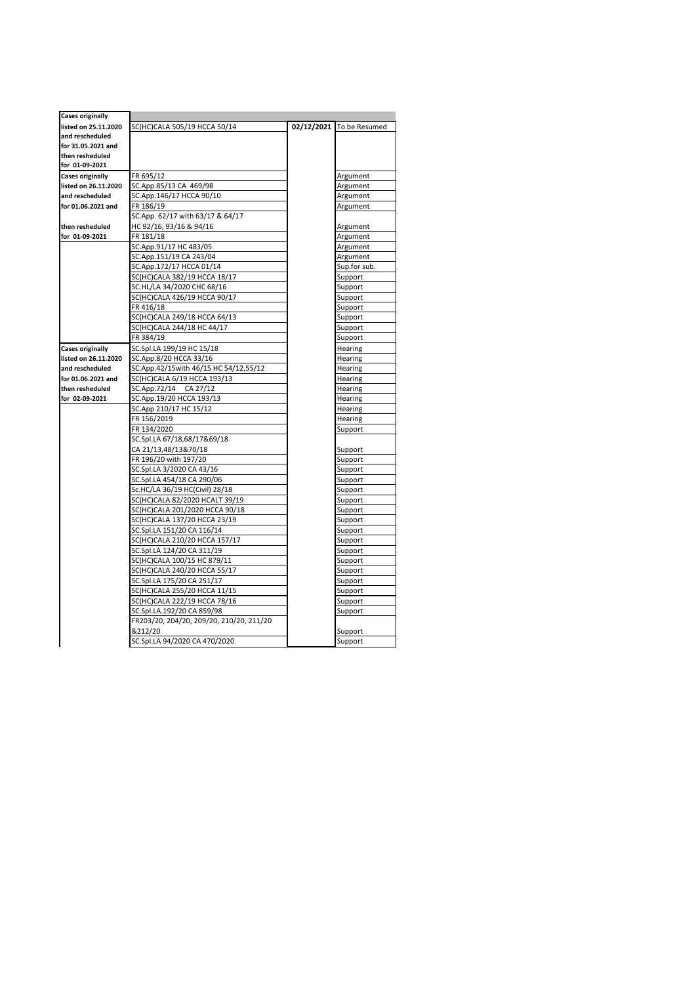| <b>Cases originally</b> |                                          |                          |
|-------------------------|------------------------------------------|--------------------------|
| listed on 25.11.2020    | SC(HC)CALA 505/19 HCCA 50/14             | 02/12/2021 To be Resumed |
| and rescheduled         |                                          |                          |
| for 31.05.2021 and      |                                          |                          |
| then resheduled         |                                          |                          |
| for 01-09-2021          |                                          |                          |
| <b>Cases originally</b> | FR 695/12                                | Argument                 |
| listed on 26.11.2020    | SC.App.85/13 CA 469/98                   | Argument                 |
| and rescheduled         | SC.App.146/17 HCCA 90/10                 | Argument                 |
| for 01.06.2021 and      | FR 186/19                                | Argument                 |
|                         | SC.App. 62/17 with 63/17 & 64/17         |                          |
| then resheduled         | HC 92/16, 93/16 & 94/16                  | Argument                 |
| for 01-09-2021          | FR 181/18                                | Argument                 |
|                         | SC.App.91/17 HC 483/05                   | Argument                 |
|                         | SC.App.151/19 CA 243/04                  | Argument                 |
|                         | SC.App.172/17 HCCA 01/14                 | Sup.for sub.             |
|                         | SC(HC)CALA 382/19 HCCA 18/17             | Support                  |
|                         | SC.HL/LA 34/2020 CHC 68/16               | Support                  |
|                         | SC(HC)CALA 426/19 HCCA 90/17             | Support                  |
|                         | FR 416/18                                | Support                  |
|                         | SC(HC)CALA 249/18 HCCA 64/13             | Support                  |
|                         | SC(HC)CALA 244/18 HC 44/17               | Support                  |
|                         | FR 384/19                                | Support                  |
| <b>Cases originally</b> | SC.Spl.LA 199/19 HC 15/18                | Hearing                  |
| listed on 26.11.2020    | SC.App.8/20 HCCA 33/16                   | Hearing                  |
| and rescheduled         | SC.App.42/15with 46/15 HC 54/12,55/12    | Hearing                  |
| for 01.06.2021 and      | SC(HC)CALA 6/19 HCCA 193/13              | Hearing                  |
| then resheduled         | SC.App.72/14 CA 27/12                    | Hearing                  |
| for 02-09-2021          | SC.App.19/20 HCCA 193/13                 | Hearing                  |
|                         | SC.App 210/17 HC 15/12                   | Hearing                  |
|                         | FR 156/2019                              | Hearing                  |
|                         | FR 134/2020                              | Support                  |
|                         | SC.Spl.LA 67/18,68/17&69/18              |                          |
|                         | CA 21/13,48/13&70/18                     | Support                  |
|                         | FR 196/20 with 197/20                    | Support                  |
|                         | SC.Spl.LA 3/2020 CA 43/16                | Support                  |
|                         | SC.Spl.LA 454/18 CA 290/06               | Support                  |
|                         | Sc.HC/LA 36/19 HC(Civil) 28/18           | Support                  |
|                         | SC(HC)CALA 82/2020 HCALT 39/19           | Support                  |
|                         | SC(HC)CALA 201/2020 HCCA 90/18           | Support                  |
|                         | SC(HC)CALA 137/20 HCCA 23/19             | Support                  |
|                         | SC.Spl.LA 151/20 CA 116/14               | Support                  |
|                         | SC(HC)CALA 210/20 HCCA 157/17            | Support                  |
|                         | SC.Spl.LA 124/20 CA 311/19               | Support                  |
|                         | SC(HC)CALA 100/15 HC 879/11              | Support                  |
|                         | SC(HC)CALA 240/20 HCCA 55/17             | Support                  |
|                         | SC.Spl.LA 175/20 CA 251/17               | Support                  |
|                         | SC(HC)CALA 255/20 HCCA 11/15             | Support                  |
|                         | SC(HC)CALA 222/19 HCCA 78/16             | Support                  |
|                         | SC.Spl.LA.192/20 CA 859/98               | Support                  |
|                         | FR203/20, 204/20, 209/20, 210/20, 211/20 |                          |
|                         | &212/20                                  | Support                  |
|                         | SC.Spl.LA 94/2020 CA 470/2020            | Support                  |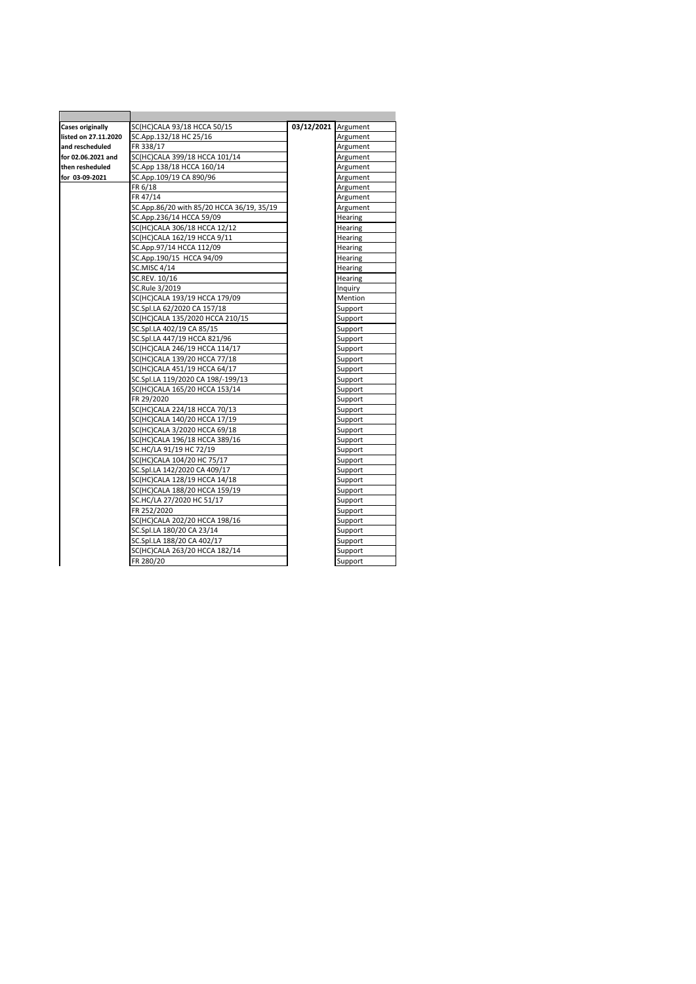| <b>Cases originally</b> | SC(HC)CALA 93/18 HCCA 50/15               | 03/12/2021 Argument |          |
|-------------------------|-------------------------------------------|---------------------|----------|
| listed on 27.11.2020    | SC.App.132/18 HC 25/16                    |                     | Argument |
| and rescheduled         | FR 338/17                                 |                     | Argument |
| for 02.06.2021 and      | SC(HC)CALA 399/18 HCCA 101/14             |                     | Argument |
| then resheduled         | SC.App 138/18 HCCA 160/14                 |                     | Argument |
| for 03-09-2021          | SC.App.109/19 CA 890/96                   |                     | Argument |
|                         | FR 6/18                                   |                     | Argument |
|                         | FR 47/14                                  |                     | Argument |
|                         | SC.App.86/20 with 85/20 HCCA 36/19, 35/19 |                     | Argument |
|                         | SC.App.236/14 HCCA 59/09                  |                     | Hearing  |
|                         | SC(HC)CALA 306/18 HCCA 12/12              |                     | Hearing  |
|                         | SC(HC)CALA 162/19 HCCA 9/11               |                     | Hearing  |
|                         | SC.App.97/14 HCCA 112/09                  |                     | Hearing  |
|                         | SC.App.190/15 HCCA 94/09                  |                     | Hearing  |
|                         | <b>SC.MISC 4/14</b>                       |                     | Hearing  |
|                         | SC.REV. 10/16                             |                     | Hearing  |
|                         | SC.Rule 3/2019                            |                     | Inquiry  |
|                         | SC(HC)CALA 193/19 HCCA 179/09             |                     | Mention  |
|                         | SC.Spl.LA 62/2020 CA 157/18               |                     | Support  |
|                         | SC(HC)CALA 135/2020 HCCA 210/15           |                     | Support  |
|                         | SC.Spl.LA 402/19 CA 85/15                 |                     | Support  |
|                         | SC.Spl.LA 447/19 HCCA 821/96              |                     | Support  |
|                         | SC(HC)CALA 246/19 HCCA 114/17             |                     | Support  |
|                         | SC(HC)CALA 139/20 HCCA 77/18              |                     | Support  |
|                         | SC(HC)CALA 451/19 HCCA 64/17              |                     | Support  |
|                         | SC.Spl.LA 119/2020 CA 198/-199/13         |                     | Support  |
|                         | SC(HC)CALA 165/20 HCCA 153/14             |                     | Support  |
|                         | FR 29/2020                                |                     | Support  |
|                         | SC(HC)CALA 224/18 HCCA 70/13              |                     | Support  |
|                         | SC(HC)CALA 140/20 HCCA 17/19              |                     | Support  |
|                         | SC(HC)CALA 3/2020 HCCA 69/18              |                     | Support  |
|                         | SC(HC)CALA 196/18 HCCA 389/16             |                     | Support  |
|                         | SC.HC/LA 91/19 HC 72/19                   |                     | Support  |
|                         | SC(HC)CALA 104/20 HC 75/17                |                     | Support  |
|                         | SC.Spl.LA 142/2020 CA 409/17              |                     | Support  |
|                         | SC(HC)CALA 128/19 HCCA 14/18              |                     | Support  |
|                         | SC(HC)CALA 188/20 HCCA 159/19             |                     | Support  |
|                         | SC.HC/LA 27/2020 HC 51/17                 |                     | Support  |
|                         | FR 252/2020                               |                     | Support  |
|                         | SC(HC)CALA 202/20 HCCA 198/16             |                     | Support  |
|                         | SC.Spl.LA 180/20 CA 23/14                 |                     | Support  |
|                         | SC.Spl.LA 188/20 CA 402/17                |                     | Support  |
|                         | SC(HC)CALA 263/20 HCCA 182/14             |                     | Support  |
|                         | FR 280/20                                 |                     | Support  |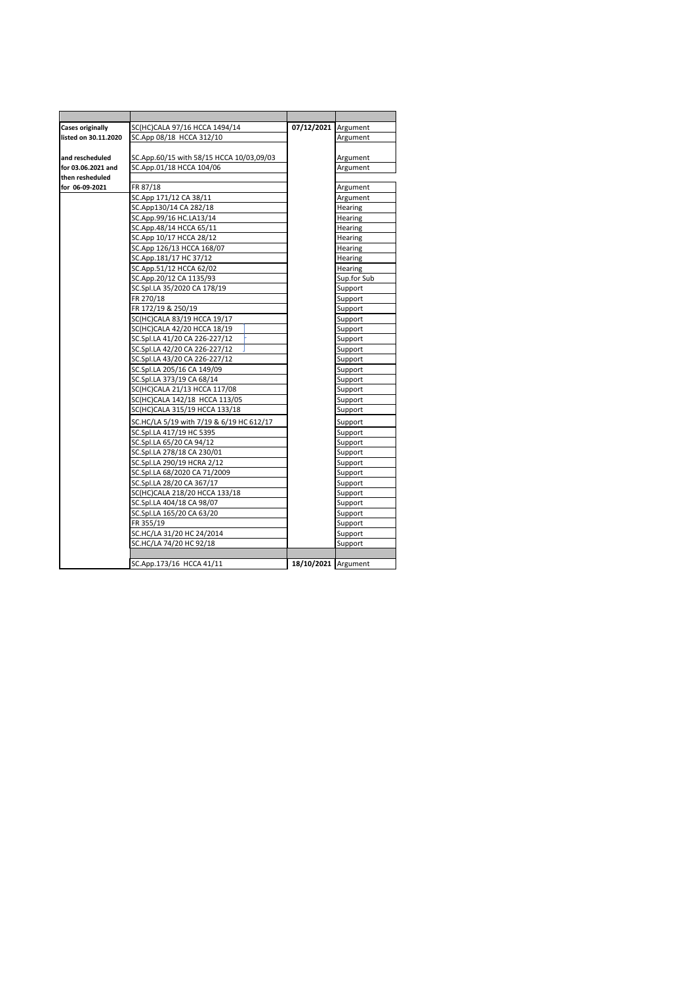| <b>Cases originally</b> | SC(HC)CALA 97/16 HCCA 1494/14            | 07/12/2021 Argument |             |
|-------------------------|------------------------------------------|---------------------|-------------|
| listed on 30.11.2020    | SC.App 08/18 HCCA 312/10                 |                     | Argument    |
|                         |                                          |                     |             |
| and rescheduled         | SC.App.60/15 with 58/15 HCCA 10/03,09/03 |                     | Argument    |
| for 03.06.2021 and      | SC.App.01/18 HCCA 104/06                 |                     | Argument    |
| then resheduled         |                                          |                     |             |
| for 06-09-2021          | FR 87/18                                 |                     | Argument    |
|                         | SC.App 171/12 CA 38/11                   |                     | Argument    |
|                         | SC.App130/14 CA 282/18                   |                     | Hearing     |
|                         | SC.App.99/16 HC.LA13/14                  |                     | Hearing     |
|                         | SC.App.48/14 HCCA 65/11                  |                     | Hearing     |
|                         | SC.App 10/17 HCCA 28/12                  |                     | Hearing     |
|                         | SC.App 126/13 HCCA 168/07                |                     | Hearing     |
|                         | SC.App.181/17 HC 37/12                   |                     | Hearing     |
|                         | SC.App.51/12 HCCA 62/02                  |                     | Hearing     |
|                         | SC.App.20/12 CA 1135/93                  |                     | Sup.for Sub |
|                         | SC.Spl.LA 35/2020 CA 178/19              |                     | Support     |
|                         | FR 270/18                                |                     | Support     |
|                         | FR 172/19 & 250/19                       |                     | Support     |
|                         | SC(HC)CALA 83/19 HCCA 19/17              |                     | Support     |
|                         | SC(HC)CALA 42/20 HCCA 18/19              |                     | Support     |
|                         | SC.Spl.LA 41/20 CA 226-227/12            |                     | Support     |
|                         | SC.Spl.LA 42/20 CA 226-227/12            |                     | Support     |
|                         | SC.Spl.LA 43/20 CA 226-227/12            |                     | Support     |
|                         | SC.Spl.LA 205/16 CA 149/09               |                     | Support     |
|                         | SC.Spl.LA 373/19 CA 68/14                |                     | Support     |
|                         | SC(HC)CALA 21/13 HCCA 117/08             |                     | Support     |
|                         | SC(HC)CALA 142/18 HCCA 113/05            |                     | Support     |
|                         | SC(HC)CALA 315/19 HCCA 133/18            |                     | Support     |
|                         | SC.HC/LA 5/19 with 7/19 & 6/19 HC 612/17 |                     | Support     |
|                         | SC.Spl.LA 417/19 HC 5395                 |                     | Support     |
|                         | SC.Spl.LA 65/20 CA 94/12                 |                     | Support     |
|                         | SC.Spl.LA 278/18 CA 230/01               |                     | Support     |
|                         | SC.Spl.LA 290/19 HCRA 2/12               |                     | Support     |
|                         | SC.Spl.LA 68/2020 CA 71/2009             |                     | Support     |
|                         | SC.Spl.LA 28/20 CA 367/17                |                     | Support     |
|                         | SC(HC)CALA 218/20 HCCA 133/18            |                     | Support     |
|                         | SC.Spl.LA 404/18 CA 98/07                |                     | Support     |
|                         | SC.Spl.LA 165/20 CA 63/20                |                     | Support     |
|                         | FR 355/19                                |                     | Support     |
|                         | SC.HC/LA 31/20 HC 24/2014                |                     | Support     |
|                         | SC.HC/LA 74/20 HC 92/18                  |                     | Support     |
|                         |                                          |                     |             |
|                         | SC.App.173/16 HCCA 41/11                 | 18/10/2021 Argument |             |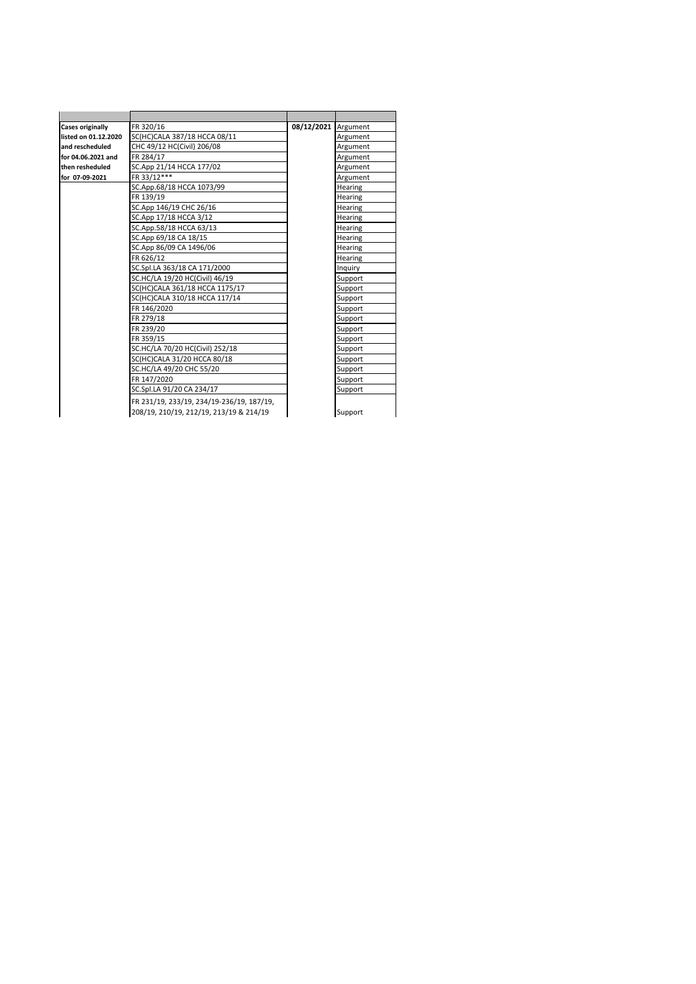| <b>Cases originally</b> | FR 320/16                                 | 08/12/2021 | Argument |
|-------------------------|-------------------------------------------|------------|----------|
| listed on 01.12.2020    | SC(HC)CALA 387/18 HCCA 08/11              |            | Argument |
| and rescheduled         | CHC 49/12 HC(Civil) 206/08                |            | Argument |
| for 04.06.2021 and      | FR 284/17                                 |            | Argument |
| then resheduled         | SC.App 21/14 HCCA 177/02                  |            | Argument |
| for 07-09-2021          | FR 33/12***                               |            | Argument |
|                         | SC.App.68/18 HCCA 1073/99                 |            | Hearing  |
|                         | FR 139/19                                 |            | Hearing  |
|                         | SC.App 146/19 CHC 26/16                   |            | Hearing  |
|                         | SC.App 17/18 HCCA 3/12                    |            | Hearing  |
|                         | SC.App.58/18 HCCA 63/13                   |            | Hearing  |
|                         | SC.App 69/18 CA 18/15                     |            | Hearing  |
|                         | SC.App 86/09 CA 1496/06                   |            | Hearing  |
|                         | FR 626/12                                 |            | Hearing  |
|                         | SC.Spl.LA 363/18 CA 171/2000              |            | Inquiry  |
|                         | SC.HC/LA 19/20 HC(Civil) 46/19            |            | Support  |
|                         | SC(HC)CALA 361/18 HCCA 1175/17            |            | Support  |
|                         | SC(HC)CALA 310/18 HCCA 117/14             |            | Support  |
|                         | FR 146/2020                               |            | Support  |
|                         | FR 279/18                                 |            | Support  |
|                         | FR 239/20                                 |            | Support  |
|                         | FR 359/15                                 |            | Support  |
|                         | SC.HC/LA 70/20 HC(Civil) 252/18           |            | Support  |
|                         | SC(HC)CALA 31/20 HCCA 80/18               |            | Support  |
|                         | SC.HC/LA 49/20 CHC 55/20                  |            | Support  |
|                         | FR 147/2020                               |            | Support  |
|                         | SC.Spl.LA 91/20 CA 234/17                 |            | Support  |
|                         | FR 231/19, 233/19, 234/19-236/19, 187/19, |            |          |
|                         | 208/19, 210/19, 212/19, 213/19 & 214/19   |            | Support  |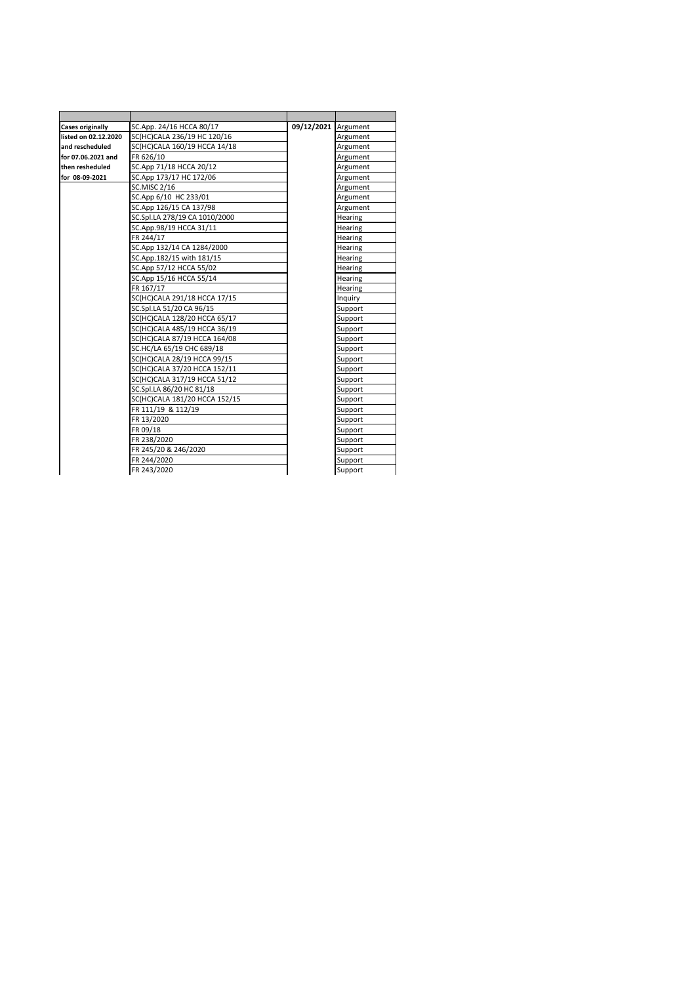| <b>Cases originally</b> | SC.App. 24/16 HCCA 80/17      | 09/12/2021 Argument |          |
|-------------------------|-------------------------------|---------------------|----------|
| listed on 02.12.2020    | SC(HC)CALA 236/19 HC 120/16   |                     | Argument |
| and rescheduled         | SC(HC)CALA 160/19 HCCA 14/18  |                     | Argument |
| for 07.06.2021 and      | FR 626/10                     |                     | Argument |
| then resheduled         | SC.App 71/18 HCCA 20/12       |                     | Argument |
| for 08-09-2021          | SC.App 173/17 HC 172/06       |                     | Argument |
|                         | <b>SC.MISC 2/16</b>           |                     | Argument |
|                         | SC.App 6/10 HC 233/01         |                     | Argument |
|                         | SC.App 126/15 CA 137/98       |                     | Argument |
|                         | SC.Spl.LA 278/19 CA 1010/2000 |                     | Hearing  |
|                         | SC.App.98/19 HCCA 31/11       |                     | Hearing  |
|                         | FR 244/17                     |                     | Hearing  |
|                         | SC.App 132/14 CA 1284/2000    |                     | Hearing  |
|                         | SC.App.182/15 with 181/15     |                     | Hearing  |
|                         | SC.App 57/12 HCCA 55/02       |                     | Hearing  |
|                         | SC.App 15/16 HCCA 55/14       |                     | Hearing  |
|                         | FR 167/17                     |                     | Hearing  |
|                         | SC(HC)CALA 291/18 HCCA 17/15  |                     | Inquiry  |
|                         | SC.Spl.LA 51/20 CA 96/15      |                     | Support  |
|                         | SC(HC)CALA 128/20 HCCA 65/17  |                     | Support  |
|                         | SC(HC)CALA 485/19 HCCA 36/19  |                     | Support  |
|                         | SC(HC)CALA 87/19 HCCA 164/08  |                     | Support  |
|                         | SC.HC/LA 65/19 CHC 689/18     |                     | Support  |
|                         | SC(HC)CALA 28/19 HCCA 99/15   |                     | Support  |
|                         | SC(HC)CALA 37/20 HCCA 152/11  |                     | Support  |
|                         | SC(HC)CALA 317/19 HCCA 51/12  |                     | Support  |
|                         | SC.Spl.LA 86/20 HC 81/18      |                     | Support  |
|                         | SC(HC)CALA 181/20 HCCA 152/15 |                     | Support  |
|                         | FR 111/19 & 112/19            |                     | Support  |
|                         | FR 13/2020                    |                     | Support  |
|                         | FR 09/18                      |                     | Support  |
|                         | FR 238/2020                   |                     | Support  |
|                         | FR 245/20 & 246/2020          |                     | Support  |
|                         | FR 244/2020                   |                     | Support  |
|                         | FR 243/2020                   |                     | Support  |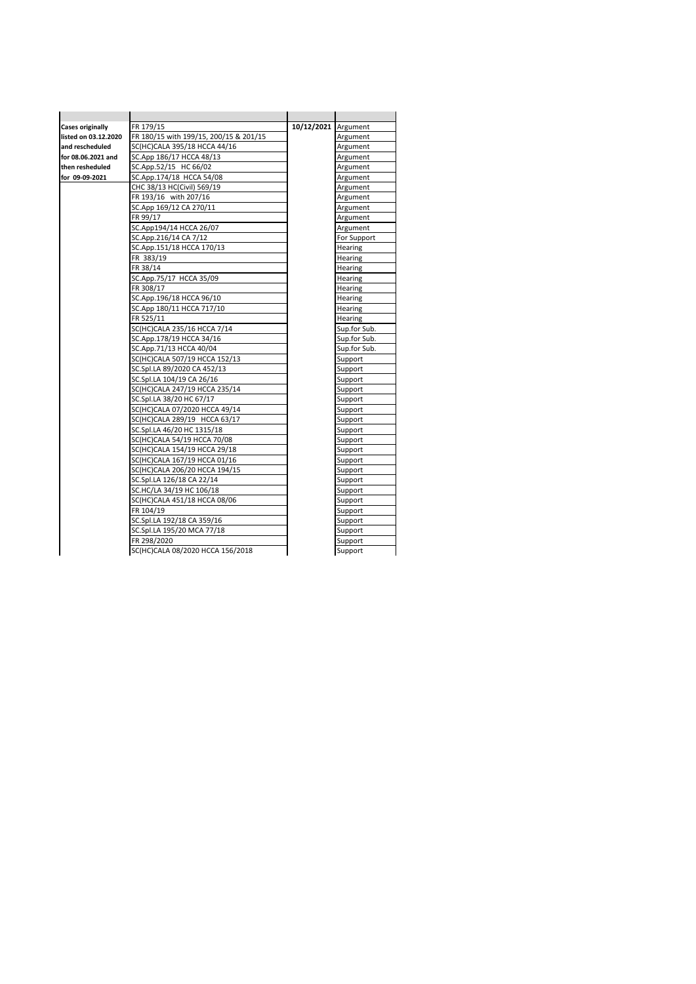| <b>Cases originally</b> | FR 179/15                              | 10/12/2021 Argument |              |
|-------------------------|----------------------------------------|---------------------|--------------|
| listed on 03.12.2020    | FR 180/15 with 199/15, 200/15 & 201/15 |                     | Argument     |
| and rescheduled         | SC(HC)CALA 395/18 HCCA 44/16           |                     | Argument     |
| for 08.06.2021 and      | SC.App 186/17 HCCA 48/13               |                     | Argument     |
| then resheduled         | SC.App.52/15 HC 66/02                  |                     | Argument     |
| for 09-09-2021          | SC.App.174/18 HCCA 54/08               |                     | Argument     |
|                         | CHC 38/13 HC(Civil) 569/19             |                     | Argument     |
|                         | FR 193/16 with 207/16                  |                     | Argument     |
|                         | SC.App 169/12 CA 270/11                |                     | Argument     |
|                         | FR 99/17                               |                     | Argument     |
|                         | SC.App194/14 HCCA 26/07                |                     | Argument     |
|                         | SC.App.216/14 CA 7/12                  |                     | For Support  |
|                         | SC.App.151/18 HCCA 170/13              |                     | Hearing      |
|                         | FR 383/19                              |                     | Hearing      |
|                         | FR 38/14                               |                     | Hearing      |
|                         | SC.App.75/17 HCCA 35/09                |                     | Hearing      |
|                         | FR 308/17                              |                     | Hearing      |
|                         | SC.App.196/18 HCCA 96/10               |                     | Hearing      |
|                         | SC.App 180/11 HCCA 717/10              |                     | Hearing      |
|                         | FR 525/11                              |                     | Hearing      |
|                         | SC(HC)CALA 235/16 HCCA 7/14            |                     | Sup.for Sub. |
|                         | SC.App.178/19 HCCA 34/16               |                     | Sup.for Sub. |
|                         | SC.App.71/13 HCCA 40/04                |                     | Sup.for Sub. |
|                         | SC(HC)CALA 507/19 HCCA 152/13          |                     | Support      |
|                         | SC.Spl.LA 89/2020 CA 452/13            |                     | Support      |
|                         | SC.Spl.LA 104/19 CA 26/16              |                     | Support      |
|                         | SC(HC)CALA 247/19 HCCA 235/14          |                     | Support      |
|                         | SC.Spl.LA 38/20 HC 67/17               |                     | Support      |
|                         | SC(HC)CALA 07/2020 HCCA 49/14          |                     | Support      |
|                         | SC(HC)CALA 289/19 HCCA 63/17           |                     | Support      |
|                         | SC.Spl.LA 46/20 HC 1315/18             |                     | Support      |
|                         | SC(HC)CALA 54/19 HCCA 70/08            |                     | Support      |
|                         | SC(HC)CALA 154/19 HCCA 29/18           |                     | Support      |
|                         | SC(HC)CALA 167/19 HCCA 01/16           |                     | Support      |
|                         | SC(HC)CALA 206/20 HCCA 194/15          |                     | Support      |
|                         | SC.Spl.LA 126/18 CA 22/14              |                     | Support      |
|                         | SC.HC/LA 34/19 HC 106/18               |                     | Support      |
|                         | SC(HC)CALA 451/18 HCCA 08/06           |                     | Support      |
|                         | FR 104/19                              |                     | Support      |
|                         | SC.Spl.LA 192/18 CA 359/16             |                     | Support      |
|                         | SC.Spl.LA 195/20 MCA 77/18             |                     | Support      |
|                         | FR 298/2020                            |                     | Support      |
|                         | SC(HC)CALA 08/2020 HCCA 156/2018       |                     | Support      |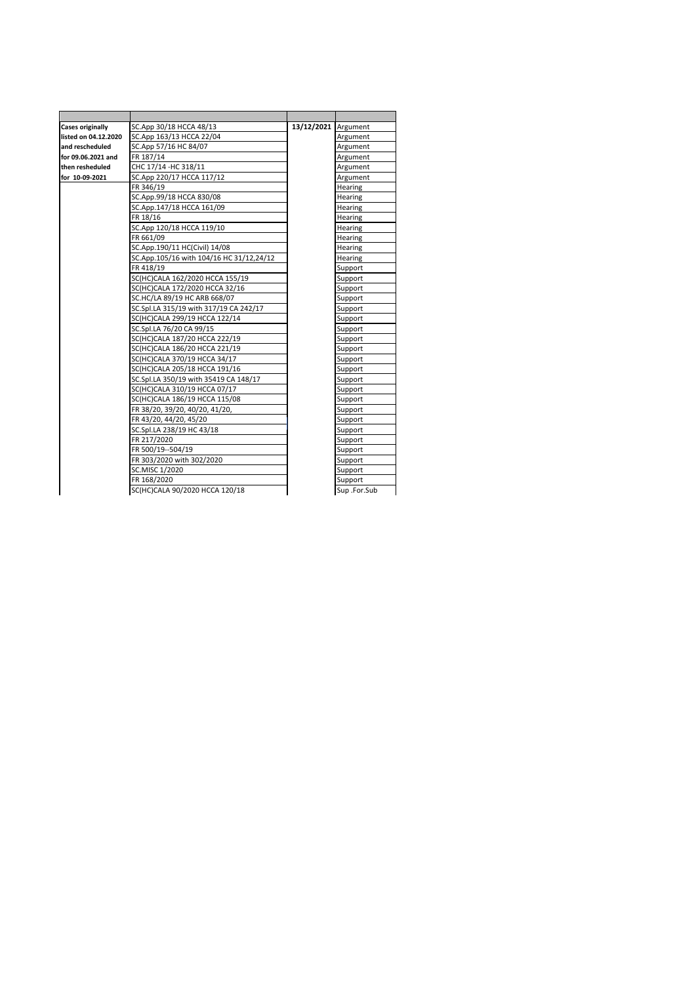| <b>Cases originally</b> | SC.App 30/18 HCCA 48/13                  | 13/12/2021 Argument |             |
|-------------------------|------------------------------------------|---------------------|-------------|
| listed on 04.12.2020    | SC.App 163/13 HCCA 22/04                 |                     | Argument    |
| and rescheduled         | SC.App 57/16 HC 84/07                    |                     | Argument    |
| for 09.06.2021 and      | FR 187/14                                |                     | Argument    |
| then resheduled         | CHC 17/14 - HC 318/11                    |                     | Argument    |
| for 10-09-2021          | SC.App 220/17 HCCA 117/12                |                     | Argument    |
|                         | FR 346/19                                |                     | Hearing     |
|                         | SC.App.99/18 HCCA 830/08                 |                     | Hearing     |
|                         | SC.App.147/18 HCCA 161/09                |                     | Hearing     |
|                         | FR 18/16                                 |                     | Hearing     |
|                         | SC.App 120/18 HCCA 119/10                |                     | Hearing     |
|                         | FR 661/09                                |                     | Hearing     |
|                         | SC.App.190/11 HC(Civil) 14/08            |                     | Hearing     |
|                         | SC.App.105/16 with 104/16 HC 31/12,24/12 |                     | Hearing     |
|                         | FR 418/19                                |                     | Support     |
|                         | SC(HC)CALA 162/2020 HCCA 155/19          |                     | Support     |
|                         | SC(HC)CALA 172/2020 HCCA 32/16           |                     | Support     |
|                         | SC.HC/LA 89/19 HC ARB 668/07             |                     | Support     |
|                         | SC.Spl.LA 315/19 with 317/19 CA 242/17   |                     | Support     |
|                         | SC(HC)CALA 299/19 HCCA 122/14            |                     | Support     |
|                         | SC.Spl.LA 76/20 CA 99/15                 |                     | Support     |
|                         | SC(HC)CALA 187/20 HCCA 222/19            |                     | Support     |
|                         | SC(HC)CALA 186/20 HCCA 221/19            |                     | Support     |
|                         | SC(HC)CALA 370/19 HCCA 34/17             |                     | Support     |
|                         | SC(HC)CALA 205/18 HCCA 191/16            |                     | Support     |
|                         | SC.Spl.LA 350/19 with 35419 CA 148/17    |                     | Support     |
|                         | SC(HC)CALA 310/19 HCCA 07/17             |                     | Support     |
|                         | SC(HC)CALA 186/19 HCCA 115/08            |                     | Support     |
|                         | FR 38/20, 39/20, 40/20, 41/20,           |                     | Support     |
|                         | FR 43/20, 44/20, 45/20                   |                     | Support     |
|                         | SC.Spl.LA 238/19 HC 43/18                |                     | Support     |
|                         | FR 217/2020                              |                     | Support     |
|                         | FR 500/19--504/19                        |                     | Support     |
|                         | FR 303/2020 with 302/2020                |                     | Support     |
|                         | <b>SC.MISC 1/2020</b>                    |                     | Support     |
|                         | FR 168/2020                              |                     | Support     |
|                         | SC(HC)CALA 90/2020 HCCA 120/18           |                     | Sup.For.Sub |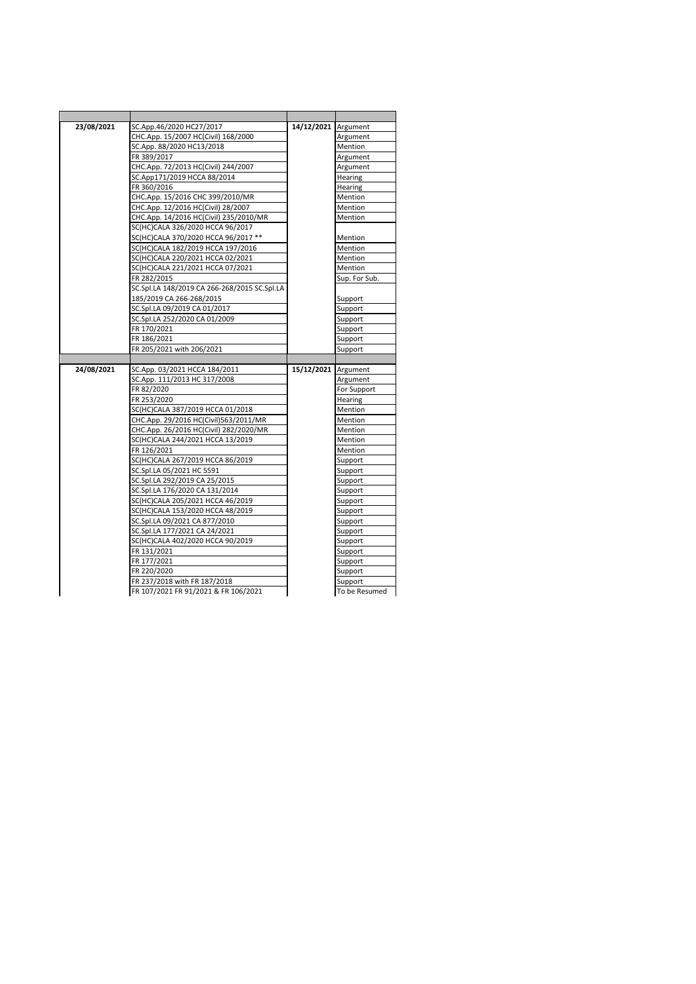| 23/08/2021 | SC.App.46/2020 HC27/2017                                             | 14/12/2021 Argument |                          |
|------------|----------------------------------------------------------------------|---------------------|--------------------------|
|            | CHC.App. 15/2007 HC(Civil) 168/2000                                  |                     | Argument                 |
|            | SC.App. 88/2020 HC13/2018                                            |                     | Mention                  |
|            | FR 389/2017                                                          |                     | Argument                 |
|            | CHC.App. 72/2013 HC(Civil) 244/2007                                  |                     | Argument                 |
|            | SC.App171/2019 HCCA 88/2014                                          |                     | Hearing                  |
|            | FR 360/2016                                                          |                     | Hearing                  |
|            | CHC.App. 15/2016 CHC 399/2010/MR                                     |                     | Mention                  |
|            | CHC.App. 12/2016 HC(Civil) 28/2007                                   |                     | Mention                  |
|            | CHC.App. 14/2016 HC(Civil) 235/2010/MR                               |                     | Mention                  |
|            | SC(HC)CALA 326/2020 HCCA 96/2017                                     |                     |                          |
|            | SC(HC)CALA 370/2020 HCCA 96/2017 **                                  |                     | Mention                  |
|            | SC(HC)CALA 182/2019 HCCA 197/2016                                    |                     | Mention                  |
|            | SC(HC)CALA 220/2021 HCCA 02/2021                                     |                     | Mention                  |
|            | SC(HC)CALA 221/2021 HCCA 07/2021                                     |                     | Mention                  |
|            | FR 282/2015                                                          |                     | Sup. For Sub.            |
|            | SC.Spl.LA 148/2019 CA 266-268/2015 SC.Spl.LA                         |                     |                          |
|            | 185/2019 CA 266-268/2015                                             |                     | Support                  |
|            | SC.Spl.LA 09/2019 CA 01/2017                                         |                     | Support                  |
|            | SC.Spl.LA 252/2020 CA 01/2009                                        |                     | Support                  |
|            | FR 170/2021                                                          |                     | Support                  |
|            | FR 186/2021                                                          |                     | Support                  |
|            | FR 205/2021 with 206/2021                                            |                     | Support                  |
|            |                                                                      |                     |                          |
| 24/08/2021 | SC.App. 03/2021 HCCA 184/2011                                        | 15/12/2021 Argument |                          |
|            | SC.App. 111/2013 HC 317/2008                                         |                     | Argument                 |
|            | FR 82/2020                                                           |                     | For Support              |
|            | FR 253/2020                                                          |                     | Hearing                  |
|            | SC(HC)CALA 387/2019 HCCA 01/2018                                     |                     | Mention                  |
|            | CHC.App. 29/2016 HC(Civil)563/2011/MR                                |                     | <b>Mention</b>           |
|            | CHC.App. 26/2016 HC(Civil) 282/2020/MR                               |                     | Mention                  |
|            | SC(HC)CALA 244/2021 HCCA 13/2019                                     |                     | Mention                  |
|            | FR 126/2021                                                          |                     | Mention                  |
|            | SC(HC)CALA 267/2019 HCCA 86/2019                                     |                     | Support                  |
|            | SC.Spl.LA 05/2021 HC 5591                                            |                     | Support                  |
|            |                                                                      |                     |                          |
|            | SC.Spl.LA 292/2019 CA 25/2015                                        |                     | Support                  |
|            | SC.Spl.LA 176/2020 CA 131/2014                                       |                     | Support                  |
|            | SC(HC)CALA 205/2021 HCCA 46/2019                                     |                     | Support                  |
|            | SC(HC)CALA 153/2020 HCCA 48/2019                                     |                     | Support                  |
|            | SC.Spl.LA 09/2021 CA 877/2010                                        |                     | Support                  |
|            | SC.Spl.LA 177/2021 CA 24/2021                                        |                     | Support                  |
|            | SC(HC)CALA 402/2020 HCCA 90/2019                                     |                     | Support                  |
|            | FR 131/2021                                                          |                     | Support                  |
|            | FR 177/2021                                                          |                     | Support                  |
|            | FR 220/2020                                                          |                     | Support                  |
|            | FR 237/2018 with FR 187/2018<br>FR 107/2021 FR 91/2021 & FR 106/2021 |                     | Support<br>To be Resumed |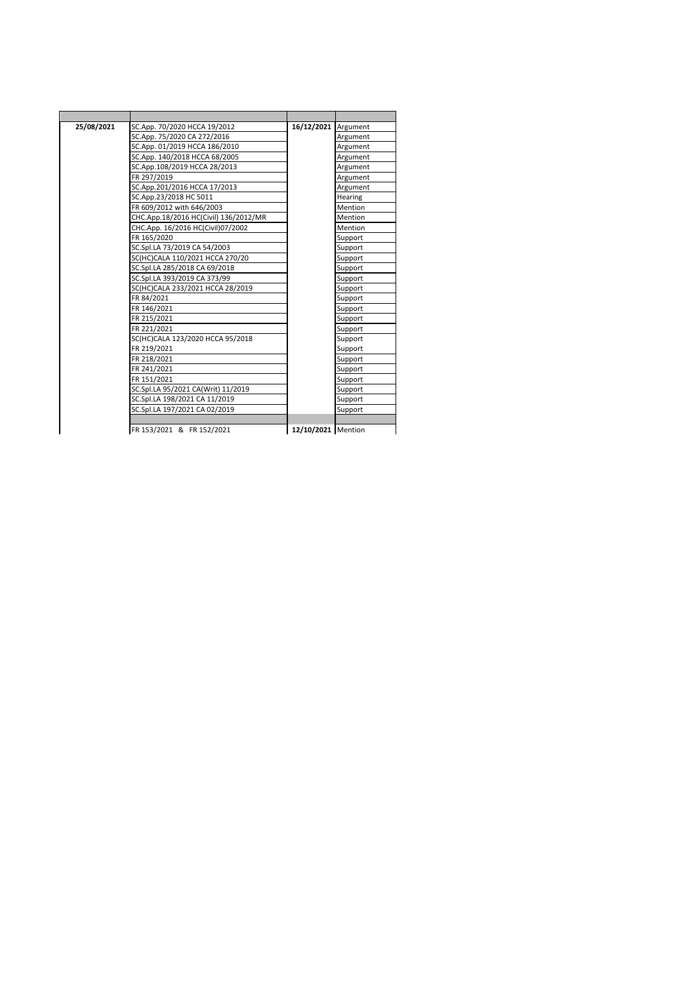| 25/08/2021 | SC.App. 70/2020 HCCA 19/2012          | 16/12/2021 Argument |          |
|------------|---------------------------------------|---------------------|----------|
|            | SC.App. 75/2020 CA 272/2016           |                     | Argument |
|            | SC.App. 01/2019 HCCA 186/2010         |                     | Argument |
|            | SC.App. 140/2018 HCCA 68/2005         |                     | Argument |
|            | SC.App.108/2019 HCCA 28/2013          |                     | Argument |
|            | FR 297/2019                           |                     | Argument |
|            | SC.App.201/2016 HCCA 17/2013          |                     | Argument |
|            | SC.App.23/2018 HC 5011                |                     | Hearing  |
|            | FR 609/2012 with 646/2003             |                     | Mention  |
|            | CHC.App.18/2016 HC(Civil) 136/2012/MR |                     | Mention  |
|            | CHC.App. 16/2016 HC(Civil)07/2002     |                     | Mention  |
|            | FR 165/2020                           |                     | Support  |
|            | SC.Spl.LA 73/2019 CA 54/2003          |                     | Support  |
|            | SC(HC)CALA 110/2021 HCCA 270/20       |                     | Support  |
|            | SC.Spl.LA 285/2018 CA 69/2018         |                     | Support  |
|            | SC.Spl.LA 393/2019 CA 373/99          |                     | Support  |
|            | SC(HC)CALA 233/2021 HCCA 28/2019      |                     | Support  |
|            | FR 84/2021                            |                     | Support  |
|            | FR 146/2021                           |                     | Support  |
|            | FR 215/2021                           |                     | Support  |
|            | FR 221/2021                           |                     | Support  |
|            | SC(HC)CALA 123/2020 HCCA 95/2018      |                     | Support  |
|            | FR 219/2021                           |                     | Support  |
|            | FR 218/2021                           |                     | Support  |
|            | FR 241/2021                           |                     | Support  |
|            | FR 151/2021                           |                     | Support  |
|            | SC.Spl.LA 95/2021 CA(Writ) 11/2019    |                     | Support  |
|            | SC.Spl.LA 198/2021 CA 11/2019         |                     | Support  |
|            | SC.Spl.LA 197/2021 CA 02/2019         |                     | Support  |
|            |                                       |                     |          |
|            | FR 153/2021 & FR 152/2021             | 12/10/2021 Mention  |          |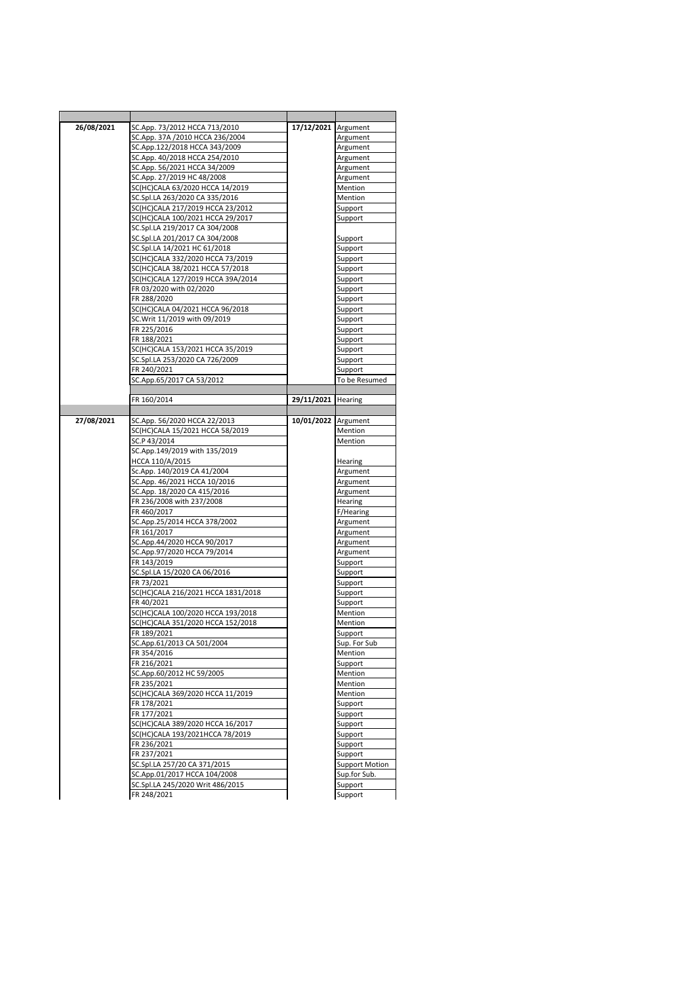| 26/08/2021 | SC.App. 73/2012 HCCA 713/2010                  | 17/12/2021 Argument |                                  |
|------------|------------------------------------------------|---------------------|----------------------------------|
|            | SC.App. 37A /2010 HCCA 236/2004                |                     | Argument                         |
|            | SC.App.122/2018 HCCA 343/2009                  |                     | Argument                         |
|            | SC.App. 40/2018 HCCA 254/2010                  |                     | Argument                         |
|            | SC.App. 56/2021 HCCA 34/2009                   |                     | Argument                         |
|            | SC.App. 27/2019 HC 48/2008                     |                     | Argument                         |
|            | SC(HC)CALA 63/2020 HCCA 14/2019                |                     | Mention                          |
|            | SC.Spl.LA 263/2020 CA 335/2016                 |                     | Mention                          |
|            | SC(HC)CALA 217/2019 HCCA 23/2012               |                     | Support                          |
|            | SC(HC)CALA 100/2021 HCCA 29/2017               |                     | Support                          |
|            | SC.Spl.LA 219/2017 CA 304/2008                 |                     |                                  |
|            | SC.Spl.LA 201/2017 CA 304/2008                 |                     | Support                          |
|            | SC.Spl.LA 14/2021 HC 61/2018                   |                     | Support                          |
|            | SC(HC)CALA 332/2020 HCCA 73/2019               |                     | Support                          |
|            | SC(HC)CALA 38/2021 HCCA 57/2018                |                     | Support                          |
|            | SC(HC)CALA 127/2019 HCCA 39A/2014              |                     | Support                          |
|            | FR 03/2020 with 02/2020                        |                     | Support                          |
|            | FR 288/2020                                    |                     | Support                          |
|            | SC(HC)CALA 04/2021 HCCA 96/2018                |                     | Support                          |
|            | SC.Writ 11/2019 with 09/2019                   |                     | Support                          |
|            | FR 225/2016                                    |                     | Support                          |
|            | FR 188/2021                                    |                     | Support                          |
|            | SC(HC)CALA 153/2021 HCCA 35/2019               |                     | Support                          |
|            | SC.Spl.LA 253/2020 CA 726/2009                 |                     | Support                          |
|            | FR 240/2021                                    |                     | Support                          |
|            | SC.App.65/2017 CA 53/2012                      |                     | To be Resumed                    |
|            | FR 160/2014                                    | 29/11/2021 Hearing  |                                  |
|            |                                                |                     |                                  |
| 27/08/2021 | SC.App. 56/2020 HCCA 22/2013                   | 10/01/2022 Argument |                                  |
|            | SC(HC)CALA 15/2021 HCCA 58/2019                |                     | Mention                          |
|            | SC.P 43/2014                                   |                     | Mention                          |
|            | SC.App.149/2019 with 135/2019                  |                     |                                  |
|            | HCCA 110/A/2015                                |                     | Hearing                          |
|            | Sc.App. 140/2019 CA 41/2004                    |                     | Argument                         |
|            | SC.App. 46/2021 HCCA 10/2016                   |                     | Argument                         |
|            | SC.App. 18/2020 CA 415/2016                    |                     | Argument                         |
|            | FR 236/2008 with 237/2008                      |                     | Hearing                          |
|            | FR 460/2017                                    |                     | F/Hearing                        |
|            | SC.App.25/2014 HCCA 378/2002                   |                     | Argument                         |
|            | FR 161/2017                                    |                     | Argument                         |
|            | SC.App.44/2020 HCCA 90/2017                    |                     | Argument                         |
|            | SC.App.97/2020 HCCA 79/2014                    |                     | Argument                         |
|            | FR 143/2019                                    |                     | Support                          |
|            | SC.Spl.LA 15/2020 CA 06/2016                   |                     | Support                          |
|            | FR 73/2021                                     |                     | Support                          |
|            | SC(HC)CALA 216/2021 HCCA 1831/2018             |                     | Support                          |
|            | FR 40/2021                                     |                     | Support                          |
|            | SC(HC)CALA 100/2020 HCCA 193/2018              |                     | Mention                          |
|            | SC(HC)CALA 351/2020 HCCA 152/2018              |                     | Mention                          |
|            | FR 189/2021                                    |                     | Support                          |
|            | SC.App.61/2013 CA 501/2004                     |                     | Sup. For Sub                     |
|            | FR 354/2016                                    |                     | Mention                          |
|            | FR 216/2021                                    |                     | Support                          |
|            | SC.App.60/2012 HC 59/2005                      |                     | Mention                          |
|            | FR 235/2021                                    |                     | Mention                          |
|            | SC(HC)CALA 369/2020 HCCA 11/2019               |                     | Mention                          |
|            | FR 178/2021<br>FR 177/2021                     |                     | Support                          |
|            |                                                |                     | Support                          |
|            | SC(HC)CALA 389/2020 HCCA 16/2017               |                     | Support                          |
|            | SC(HC)CALA 193/2021HCCA 78/2019<br>FR 236/2021 |                     | Support                          |
|            | FR 237/2021                                    |                     | Support                          |
|            | SC.Spl.LA 257/20 CA 371/2015                   |                     | Support<br><b>Support Motion</b> |
|            | SC.App.01/2017 HCCA 104/2008                   |                     | Sup.for Sub.                     |
|            | SC.Spl.LA 245/2020 Writ 486/2015               |                     | Support                          |
|            | FR 248/2021                                    |                     | Support                          |
|            |                                                |                     |                                  |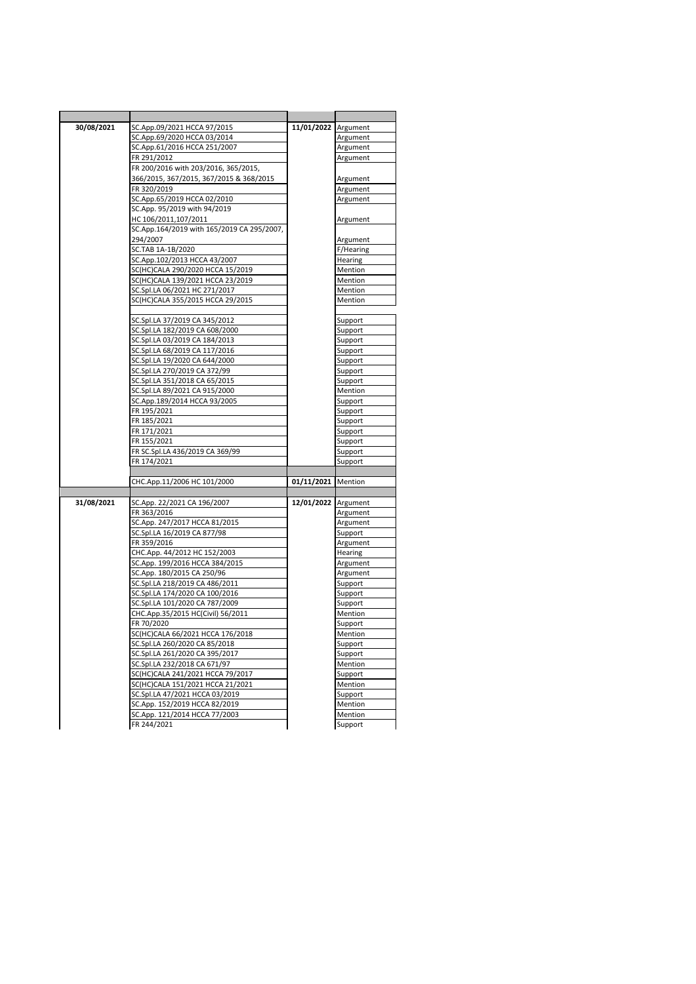| 30/08/2021 | SC.App.09/2021 HCCA 97/2015                                  | 11/01/2022 Argument |                    |
|------------|--------------------------------------------------------------|---------------------|--------------------|
|            | SC.App.69/2020 HCCA 03/2014                                  |                     | Argument           |
|            | SC.App.61/2016 HCCA 251/2007                                 |                     | Argument           |
|            | FR 291/2012                                                  |                     | Argument           |
|            | FR 200/2016 with 203/2016, 365/2015,                         |                     |                    |
|            | 366/2015, 367/2015, 367/2015 & 368/2015                      |                     | Argument           |
|            | FR 320/2019                                                  |                     | Argument           |
|            | SC.App.65/2019 HCCA 02/2010                                  |                     | Argument           |
|            | SC.App. 95/2019 with 94/2019                                 |                     |                    |
|            | HC 106/2011,107/2011                                         |                     | Argument           |
|            | SC.App.164/2019 with 165/2019 CA 295/2007,<br>294/2007       |                     | Argument           |
|            | SC.TAB 1A-1B/2020                                            |                     | F/Hearing          |
|            | SC.App.102/2013 HCCA 43/2007                                 |                     | Hearing            |
|            | SC(HC)CALA 290/2020 HCCA 15/2019                             |                     | Mention            |
|            | SC(HC)CALA 139/2021 HCCA 23/2019                             |                     | Mention            |
|            | SC.Spl.LA 06/2021 HC 271/2017                                |                     | Mention            |
|            | SC(HC)CALA 355/2015 HCCA 29/2015                             |                     | Mention            |
|            |                                                              |                     |                    |
|            | SC.Spl.LA 37/2019 CA 345/2012                                |                     | Support            |
|            | SC.Spl.LA 182/2019 CA 608/2000                               |                     | Support            |
|            | SC.Spl.LA 03/2019 CA 184/2013                                |                     | Support            |
|            | SC.Spl.LA 68/2019 CA 117/2016                                |                     | Support            |
|            | SC.Spl.LA 19/2020 CA 644/2000                                |                     | Support            |
|            | SC.Spl.LA 270/2019 CA 372/99                                 |                     | Support            |
|            | SC.Spl.LA 351/2018 CA 65/2015                                |                     | Support            |
|            | SC.Spl.LA 89/2021 CA 915/2000                                |                     | Mention            |
|            | SC.App.189/2014 HCCA 93/2005                                 |                     | Support            |
|            | FR 195/2021<br>FR 185/2021                                   |                     | Support            |
|            | FR 171/2021                                                  |                     | Support<br>Support |
|            | FR 155/2021                                                  |                     | Support            |
|            | FR SC.Spl.LA 436/2019 CA 369/99                              |                     | Support            |
|            | FR 174/2021                                                  |                     | Support            |
|            |                                                              |                     |                    |
|            | СНС.Арр.11/2006 НС 101/2000                                  | 01/11/2021 Mention  |                    |
|            |                                                              |                     |                    |
| 31/08/2021 | SC.App. 22/2021 CA 196/2007                                  | 12/01/2022 Argument |                    |
|            | FR 363/2016                                                  |                     | Argument           |
|            | SC.App. 247/2017 HCCA 81/2015                                |                     | Argument           |
|            | SC.Spl.LA 16/2019 CA 877/98                                  |                     | Support            |
|            | FR 359/2016                                                  |                     | Argument           |
|            | CHC.App. 44/2012 HC 152/2003                                 |                     | Hearing            |
|            | SC.App. 199/2016 HCCA 384/2015                               |                     | Argument           |
|            | SC.App. 180/2015 CA 250/96<br>SC.Spl.LA 218/2019 CA 486/2011 |                     | Argument           |
|            | SC.Spl.LA 174/2020 CA 100/2016                               |                     | Support<br>Support |
|            | SC.Spl.LA 101/2020 CA 787/2009                               |                     | Support            |
|            | CHC.App.35/2015 HC(Civil) 56/2011                            |                     | Mention            |
|            | FR 70/2020                                                   |                     | Support            |
|            | SC(HC)CALA 66/2021 HCCA 176/2018                             |                     | Mention            |
|            | SC.Spl.LA 260/2020 CA 85/2018                                |                     | Support            |
|            | SC.Spl.LA 261/2020 CA 395/2017                               |                     | Support            |
|            | SC.Spl.LA 232/2018 CA 671/97                                 |                     | Mention            |
|            | SC(HC)CALA 241/2021 HCCA 79/2017                             |                     | Support            |
|            | SC(HC)CALA 151/2021 HCCA 21/2021                             |                     | Mention            |
|            | SC.Spl.LA 47/2021 HCCA 03/2019                               |                     | Support            |
|            | SC.App. 152/2019 HCCA 82/2019                                |                     | Mention            |
|            | SC.App. 121/2014 HCCA 77/2003                                |                     | Mention            |
|            | FR 244/2021                                                  |                     | Support            |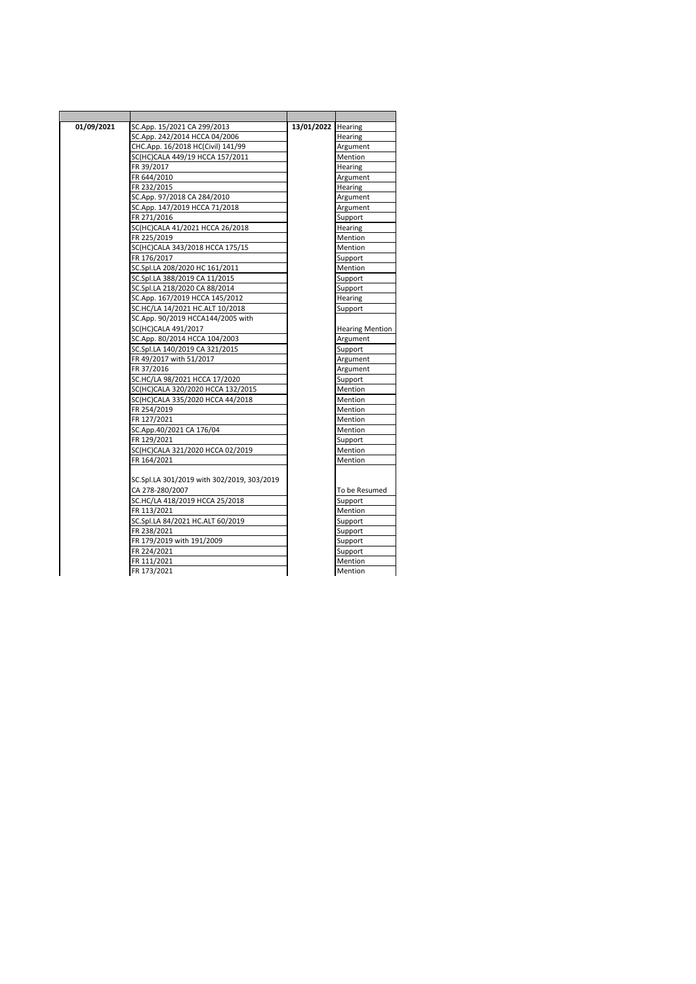| 01/09/2021 | SC.App. 15/2021 CA 299/2013                | 13/01/2022 Hearing |                        |
|------------|--------------------------------------------|--------------------|------------------------|
|            | SC.App. 242/2014 HCCA 04/2006              |                    | Hearing                |
|            | CHC.App. 16/2018 HC(Civil) 141/99          |                    | Argument               |
|            | SC(HC)CALA 449/19 HCCA 157/2011            |                    | Mention                |
|            | FR 39/2017                                 |                    | Hearing                |
|            | FR 644/2010                                |                    | Argument               |
|            | FR 232/2015                                |                    | Hearing                |
|            | SC.App. 97/2018 CA 284/2010                |                    | Argument               |
|            | SC.App. 147/2019 HCCA 71/2018              |                    | Argument               |
|            | FR 271/2016                                |                    | Support                |
|            | SC(HC)CALA 41/2021 HCCA 26/2018            |                    | Hearing                |
|            | FR 225/2019                                |                    | Mention                |
|            | SC(HC)CALA 343/2018 HCCA 175/15            |                    | <b>Mention</b>         |
|            | FR 176/2017                                |                    | Support                |
|            | SC.Spl.LA 208/2020 HC 161/2011             |                    | Mention                |
|            | SC.Spl.LA 388/2019 CA 11/2015              |                    | Support                |
|            | SC.Spl.LA 218/2020 CA 88/2014              |                    | Support                |
|            | SC.App. 167/2019 HCCA 145/2012             |                    | Hearing                |
|            | SC.HC/LA 14/2021 HC.ALT 10/2018            |                    | Support                |
|            | SC.App. 90/2019 HCCA144/2005 with          |                    |                        |
|            | SC(HC)CALA 491/2017                        |                    | <b>Hearing Mention</b> |
|            | SC.App. 80/2014 HCCA 104/2003              |                    | Argument               |
|            | SC.Spl.LA 140/2019 CA 321/2015             |                    | Support                |
|            | FR 49/2017 with 51/2017                    |                    | Argument               |
|            | FR 37/2016                                 |                    | Argument               |
|            | SC.HC/LA 98/2021 HCCA 17/2020              |                    | Support                |
|            | SC(HC)CALA 320/2020 HCCA 132/2015          |                    | Mention                |
|            | SC(HC)CALA 335/2020 HCCA 44/2018           |                    | Mention                |
|            | FR 254/2019                                |                    | Mention                |
|            | FR 127/2021                                |                    | <b>Mention</b>         |
|            | SC.App.40/2021 CA 176/04                   |                    | Mention                |
|            | FR 129/2021                                |                    | Support                |
|            | SC(HC)CALA 321/2020 HCCA 02/2019           |                    | Mention                |
|            | FR 164/2021                                |                    | Mention                |
|            | SC.Spl.LA 301/2019 with 302/2019, 303/2019 |                    |                        |
|            | CA 278-280/2007                            |                    | To be Resumed          |
|            | SC.HC/LA 418/2019 HCCA 25/2018             |                    | Support                |
|            | FR 113/2021                                |                    | <b>Mention</b>         |
|            | SC.Spl.LA 84/2021 HC.ALT 60/2019           |                    | Support                |
|            | FR 238/2021                                |                    | Support                |
|            | FR 179/2019 with 191/2009                  |                    | Support                |
|            | FR 224/2021                                |                    | Support                |
|            | FR 111/2021                                |                    | Mention                |
|            | FR 173/2021                                |                    | Mention                |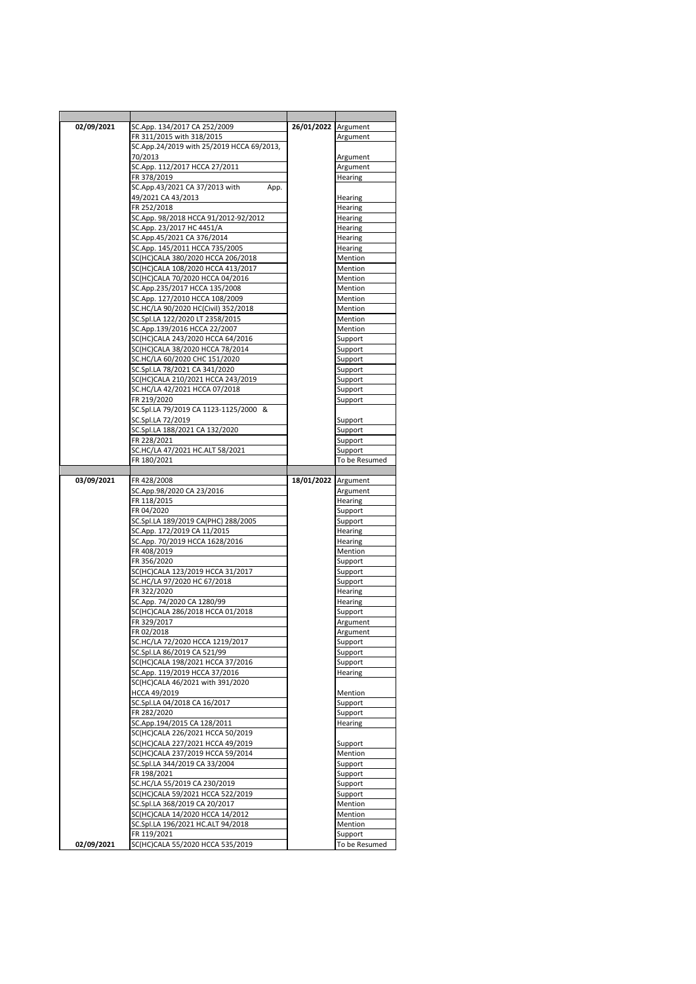| 02/09/2021 | SC.App. 134/2017 CA 252/2009                                   | 26/01/2022 Argument |                          |
|------------|----------------------------------------------------------------|---------------------|--------------------------|
|            | FR 311/2015 with 318/2015                                      |                     | Argument                 |
|            | SC.App.24/2019 with 25/2019 HCCA 69/2013,                      |                     |                          |
|            | 70/2013                                                        |                     | Argument                 |
|            | SC.App. 112/2017 HCCA 27/2011                                  |                     | Argument                 |
|            | FR 378/2019                                                    |                     | Hearing                  |
|            | SC.App.43/2021 CA 37/2013 with<br>App.                         |                     |                          |
|            | 49/2021 CA 43/2013                                             |                     | Hearing                  |
|            | FR 252/2018                                                    |                     | Hearing                  |
|            | SC.App. 98/2018 HCCA 91/2012-92/2012                           |                     | Hearing                  |
|            | SC.App. 23/2017 HC 4451/A                                      |                     | Hearing                  |
|            | SC.App.45/2021 CA 376/2014                                     |                     | Hearing                  |
|            | SC.App. 145/2011 HCCA 735/2005                                 |                     | Hearing                  |
|            | SC(HC)CALA 380/2020 HCCA 206/2018                              |                     | Mention                  |
|            | SC(HC)CALA 108/2020 HCCA 413/2017                              |                     | Mention                  |
|            | SC(HC)CALA 70/2020 HCCA 04/2016                                |                     | Mention                  |
|            | SC.App.235/2017 HCCA 135/2008                                  |                     | Mention                  |
|            | SC.App. 127/2010 HCCA 108/2009                                 |                     | Mention                  |
|            | SC.HC/LA 90/2020 HC(Civil) 352/2018                            |                     | Mention                  |
|            | SC.Spl.LA 122/2020 LT 2358/2015                                |                     | Mention                  |
|            | SC.App.139/2016 HCCA 22/2007                                   |                     | Mention                  |
|            | SC(HC)CALA 243/2020 HCCA 64/2016                               |                     | Support                  |
|            | SC(HC)CALA 38/2020 HCCA 78/2014                                |                     | Support                  |
|            | SC.HC/LA 60/2020 CHC 151/2020                                  |                     | Support                  |
|            | SC.Spl.LA 78/2021 CA 341/2020                                  |                     | Support                  |
|            | SC(HC)CALA 210/2021 HCCA 243/2019                              |                     | Support                  |
|            | SC.HC/LA 42/2021 HCCA 07/2018                                  |                     | Support                  |
|            | FR 219/2020                                                    |                     | Support                  |
|            | SC.Spl.LA 79/2019 CA 1123-1125/2000 &                          |                     |                          |
|            | SC.Spl.LA 72/2019                                              |                     | Support                  |
|            | SC.Spl.LA 188/2021 CA 132/2020                                 |                     | Support                  |
|            | FR 228/2021                                                    |                     | Support                  |
|            | SC.HC/LA 47/2021 HC.ALT 58/2021                                |                     | Support                  |
|            | FR 180/2021                                                    |                     | To be Resumed            |
| 03/09/2021 | FR 428/2008                                                    | 18/01/2022 Argument |                          |
|            |                                                                |                     |                          |
|            |                                                                |                     |                          |
|            | SC.App.98/2020 CA 23/2016                                      |                     | Argument                 |
|            | FR 118/2015                                                    |                     | Hearing                  |
|            | FR 04/2020                                                     |                     | Support                  |
|            | SC.Spl.LA 189/2019 CA(PHC) 288/2005                            |                     | Support                  |
|            | SC.App. 172/2019 CA 11/2015                                    |                     | Hearing                  |
|            | SC.App. 70/2019 HCCA 1628/2016                                 |                     | Hearing                  |
|            | FR 408/2019                                                    |                     | Mention                  |
|            | FR 356/2020                                                    |                     | Support                  |
|            | SC(HC)CALA 123/2019 HCCA 31/2017                               |                     | Support                  |
|            | SC.HC/LA 97/2020 HC 67/2018                                    |                     | Support                  |
|            | FR 322/2020                                                    |                     | Hearing                  |
|            | SC.App. 74/2020 CA 1280/99                                     |                     | Hearing                  |
|            | SC(HC)CALA 286/2018 HCCA 01/2018                               |                     | Support                  |
|            | FR 329/2017<br>FR 02/2018                                      |                     | Argument<br>Argument     |
|            |                                                                |                     |                          |
|            | SC.HC/LA 72/2020 HCCA 1219/2017<br>SC.Spl.LA 86/2019 CA 521/99 |                     | Support                  |
|            | SC(HC)CALA 198/2021 HCCA 37/2016                               |                     | Support<br>Support       |
|            | SC.App. 119/2019 HCCA 37/2016                                  |                     | Hearing                  |
|            | SC(HC)CALA 46/2021 with 391/2020                               |                     |                          |
|            | HCCA 49/2019                                                   |                     | Mention                  |
|            | SC.Spl.LA 04/2018 CA 16/2017                                   |                     | Support                  |
|            | FR 282/2020                                                    |                     | Support                  |
|            | SC.App.194/2015 CA 128/2011                                    |                     | Hearing                  |
|            | SC(HC)CALA 226/2021 HCCA 50/2019                               |                     |                          |
|            | SC(HC)CALA 227/2021 HCCA 49/2019                               |                     | Support                  |
|            | SC(HC)CALA 237/2019 HCCA 59/2014                               |                     | Mention                  |
|            | SC.Spl.LA 344/2019 CA 33/2004                                  |                     | Support                  |
|            | FR 198/2021                                                    |                     | Support                  |
|            | SC.HC/LA 55/2019 CA 230/2019                                   |                     | Support                  |
|            | SC(HC)CALA 59/2021 HCCA 522/2019                               |                     | Support                  |
|            | SC.Spl.LA 368/2019 CA 20/2017                                  |                     | Mention                  |
|            | SC(HC)CALA 14/2020 HCCA 14/2012                                |                     | Mention                  |
|            | SC.Spl.LA 196/2021 HC.ALT 94/2018                              |                     | Mention                  |
| 02/09/2021 | FR 119/2021<br>SC(HC)CALA 55/2020 HCCA 535/2019                |                     | Support<br>To be Resumed |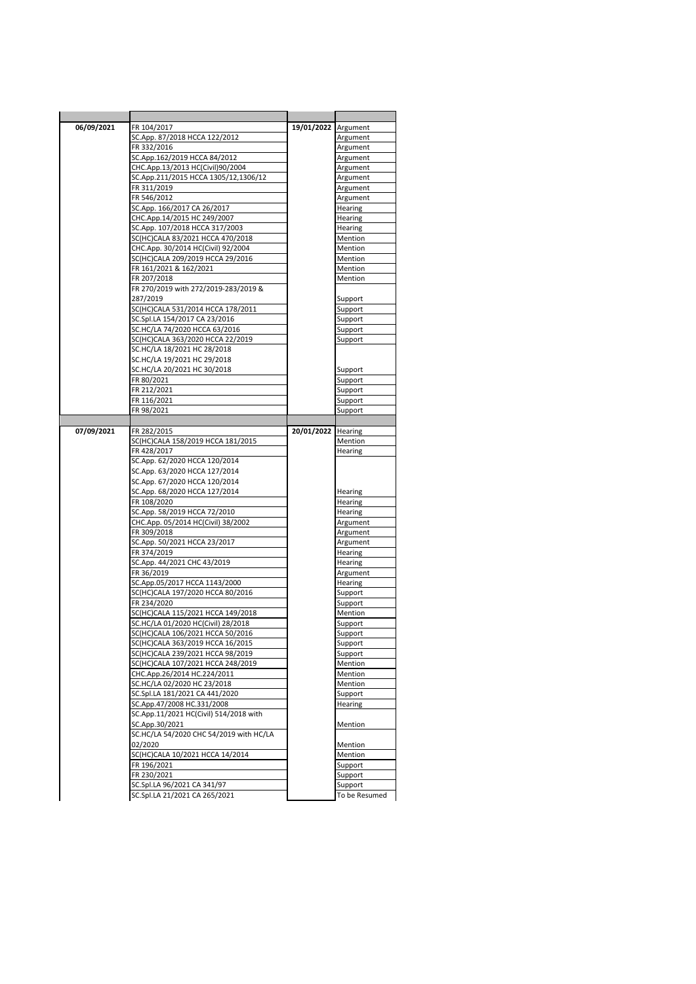| 06/09/2021 | FR 104/2017                                                             | 19/01/2022 Argument |                    |
|------------|-------------------------------------------------------------------------|---------------------|--------------------|
|            | SC.App. 87/2018 HCCA 122/2012                                           |                     | Argument           |
|            | FR 332/2016                                                             |                     | Argument           |
|            | SC.App.162/2019 HCCA 84/2012                                            |                     | Argument           |
|            | CHC.App.13/2013 HC(Civil)90/2004                                        |                     | Argument           |
|            | SC.App.211/2015 HCCA 1305/12,1306/12                                    |                     | Argument           |
|            | FR 311/2019                                                             |                     | Argument           |
|            | FR 546/2012                                                             |                     | Argument           |
|            | SC.App. 166/2017 CA 26/2017                                             |                     | Hearing            |
|            | CHC.App.14/2015 HC 249/2007                                             |                     | Hearing            |
|            | SC.App. 107/2018 HCCA 317/2003                                          |                     | Hearing            |
|            | SC(HC)CALA 83/2021 HCCA 470/2018                                        |                     | Mention            |
|            | CHC.App. 30/2014 HC(Civil) 92/2004                                      |                     | Mention            |
|            | SC(HC)CALA 209/2019 HCCA 29/2016                                        |                     | Mention            |
|            | FR 161/2021 & 162/2021<br>FR 207/2018                                   |                     | Mention<br>Mention |
|            | FR 270/2019 with 272/2019-283/2019 &                                    |                     |                    |
|            | 287/2019                                                                |                     |                    |
|            | SC(HC)CALA 531/2014 HCCA 178/2011                                       |                     | Support<br>Support |
|            | SC.Spl.LA 154/2017 CA 23/2016                                           |                     | Support            |
|            | SC.HC/LA 74/2020 HCCA 63/2016                                           |                     | Support            |
|            | SC(HC)CALA 363/2020 HCCA 22/2019                                        |                     | Support            |
|            | SC.HC/LA 18/2021 HC 28/2018                                             |                     |                    |
|            | SC.HC/LA 19/2021 HC 29/2018                                             |                     |                    |
|            | SC.HC/LA 20/2021 HC 30/2018                                             |                     | Support            |
|            | FR 80/2021                                                              |                     | Support            |
|            | FR 212/2021                                                             |                     | Support            |
|            | FR 116/2021                                                             |                     | Support            |
|            | FR 98/2021                                                              |                     | Support            |
|            |                                                                         |                     |                    |
| 07/09/2021 | FR 282/2015                                                             | 20/01/2022 Hearing  |                    |
|            | SC(HC)CALA 158/2019 HCCA 181/2015                                       |                     | Mention            |
|            | FR 428/2017                                                             |                     | Hearing            |
|            | SC.App. 62/2020 HCCA 120/2014                                           |                     |                    |
|            | SC.App. 63/2020 HCCA 127/2014                                           |                     |                    |
|            | SC.App. 67/2020 HCCA 120/2014                                           |                     |                    |
|            | SC.App. 68/2020 HCCA 127/2014                                           |                     | Hearing            |
|            | FR 108/2020                                                             |                     | Hearing            |
|            | SC.App. 58/2019 HCCA 72/2010                                            |                     | Hearing            |
|            | CHC.App. 05/2014 HC(Civil) 38/2002                                      |                     | Argument           |
|            | FR 309/2018                                                             |                     | Argument           |
|            | SC.App. 50/2021 HCCA 23/2017                                            |                     | Argument           |
|            | FR 374/2019                                                             |                     | Hearing            |
|            | SC.App. 44/2021 CHC 43/2019                                             |                     | Hearing            |
|            | FR 36/2019                                                              |                     | Argument           |
|            | SC.App.05/2017 HCCA 1143/2000                                           |                     | Hearing            |
|            | SC(HC)CALA 197/2020 HCCA 80/2016<br>FR 234/2020                         |                     | Support            |
|            |                                                                         |                     | Support            |
|            | SC(HC)CALA 115/2021 HCCA 149/2018<br>SC.HC/LA 01/2020 HC(Civil) 28/2018 |                     | Mention<br>Support |
|            | SC(HC)CALA 106/2021 HCCA 50/2016                                        |                     | Support            |
|            | SC(HC)CALA 363/2019 HCCA 16/2015                                        |                     | Support            |
|            | SC(HC)CALA 239/2021 HCCA 98/2019                                        |                     | Support            |
|            | SC(HC)CALA 107/2021 HCCA 248/2019                                       |                     | Mention            |
|            | CHC.App.26/2014 HC.224/2011                                             |                     | Mention            |
|            | SC.HC/LA 02/2020 HC 23/2018                                             |                     | Mention            |
|            | SC.Spl.LA 181/2021 CA 441/2020                                          |                     | Support            |
|            | SC.App.47/2008 HC.331/2008                                              |                     | Hearing            |
|            | SC.App.11/2021 HC(Civil) 514/2018 with                                  |                     |                    |
|            | SC.App.30/2021<br>SC.HC/LA 54/2020 CHC 54/2019 with HC/LA               |                     | Mention            |
|            | 02/2020                                                                 |                     | Mention            |
|            | SC(HC)CALA 10/2021 HCCA 14/2014                                         |                     | Mention            |
|            | FR 196/2021                                                             |                     | Support            |
|            | FR 230/2021                                                             |                     | Support            |
|            | SC.Spl.LA 96/2021 CA 341/97                                             |                     | Support            |
|            | SC.Spl.LA 21/2021 CA 265/2021                                           |                     | To be Resumed      |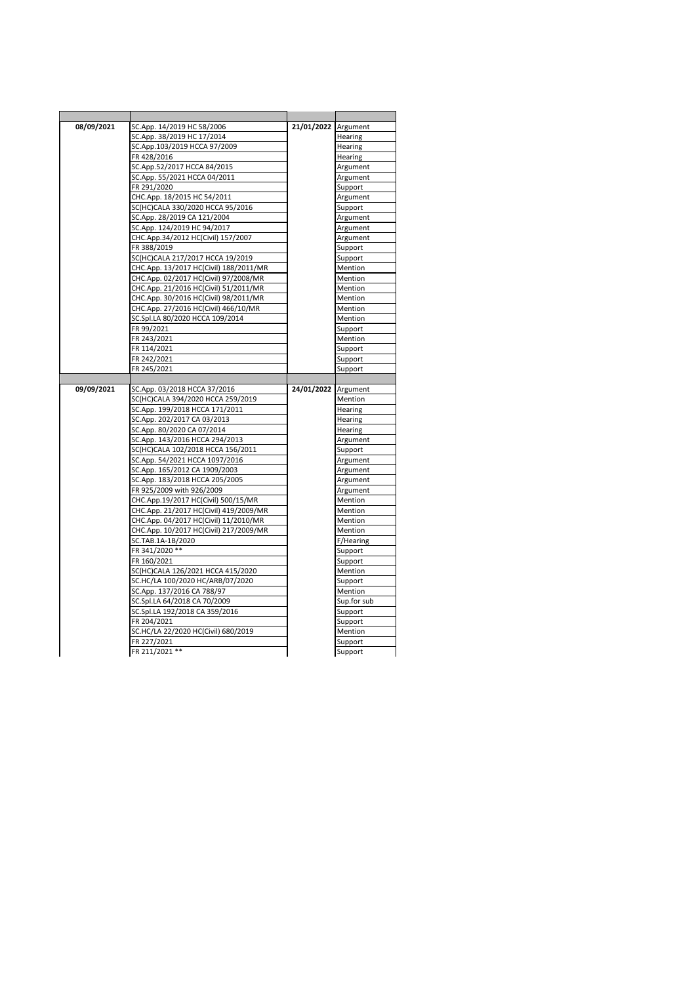| 08/09/2021 | SC.App. 14/2019 HC 58/2006                                     | 21/01/2022 Argument |                    |
|------------|----------------------------------------------------------------|---------------------|--------------------|
|            | SC.App. 38/2019 HC 17/2014                                     |                     | Hearing            |
|            | SC.App.103/2019 HCCA 97/2009                                   |                     | Hearing            |
|            | FR 428/2016                                                    |                     | Hearing            |
|            | SC.App.52/2017 HCCA 84/2015                                    |                     | Argument           |
|            | SC.App. 55/2021 HCCA 04/2011                                   |                     | Argument           |
|            | FR 291/2020                                                    |                     | Support            |
|            | CHC.App. 18/2015 HC 54/2011                                    |                     | Argument           |
|            | SC(HC)CALA 330/2020 HCCA 95/2016                               |                     | Support            |
|            | SC.App. 28/2019 CA 121/2004                                    |                     | Argument           |
|            | SC.App. 124/2019 HC 94/2017                                    |                     | Argument           |
|            | CHC.App.34/2012 HC(Civil) 157/2007                             |                     | Argument           |
|            | FR 388/2019                                                    |                     | Support            |
|            | SC(HC)CALA 217/2017 HCCA 19/2019                               |                     | Support            |
|            | CHC.App. 13/2017 HC(Civil) 188/2011/MR                         |                     | Mention            |
|            | CHC.App. 02/2017 HC(Civil) 97/2008/MR                          |                     | Mention            |
|            | CHC.App. 21/2016 HC(Civil) 51/2011/MR                          |                     | Mention            |
|            | CHC.App. 30/2016 HC(Civil) 98/2011/MR                          |                     | Mention            |
|            | CHC.App. 27/2016 HC(Civil) 466/10/MR                           |                     | Mention            |
|            | SC.Spl.LA 80/2020 HCCA 109/2014                                |                     | Mention            |
|            | FR 99/2021                                                     |                     | Support            |
|            | FR 243/2021                                                    |                     | Mention            |
|            | FR 114/2021                                                    |                     | Support            |
|            | FR 242/2021                                                    |                     | Support            |
|            | FR 245/2021                                                    |                     | Support            |
|            |                                                                |                     |                    |
|            |                                                                |                     |                    |
|            |                                                                |                     |                    |
| 09/09/2021 | SC.App. 03/2018 HCCA 37/2016                                   | 24/01/2022 Argument |                    |
|            | SC(HC)CALA 394/2020 HCCA 259/2019                              |                     | Mention            |
|            | SC.App. 199/2018 HCCA 171/2011                                 |                     | Hearing            |
|            | SC.App. 202/2017 CA 03/2013                                    |                     | Hearing            |
|            | SC.App. 80/2020 CA 07/2014                                     |                     | Hearing            |
|            | SC.App. 143/2016 HCCA 294/2013                                 |                     | Argument           |
|            | SC(HC)CALA 102/2018 HCCA 156/2011                              |                     | Support            |
|            | SC.App. 54/2021 HCCA 1097/2016                                 |                     | Argument           |
|            | SC.App. 165/2012 CA 1909/2003                                  |                     | Argument           |
|            | SC.App. 183/2018 HCCA 205/2005                                 |                     | Argument           |
|            | FR 925/2009 with 926/2009                                      |                     | Argument           |
|            | CHC.App.19/2017 HC(Civil) 500/15/MR                            |                     | Mention            |
|            | CHC.App. 21/2017 HC(Civil) 419/2009/MR                         |                     | Mention            |
|            | CHC.App. 04/2017 HC(Civil) 11/2010/MR                          |                     | Mention            |
|            | CHC.App. 10/2017 HC(Civil) 217/2009/MR                         |                     | Mention            |
|            | SC.TAB.1A-1B/2020                                              |                     | F/Hearing          |
|            | FR 341/2020 **                                                 |                     | Support            |
|            | FR 160/2021                                                    |                     | Support<br>Mention |
|            | SC(HC)CALA 126/2021 HCCA 415/2020                              |                     |                    |
|            | SC.HC/LA 100/2020 HC/ARB/07/2020<br>SC.App. 137/2016 CA 788/97 |                     | Support<br>Mention |
|            |                                                                |                     | Sup.for sub        |
|            | SC.Spl.LA 64/2018 CA 70/2009<br>SC.Spl.LA 192/2018 CA 359/2016 |                     |                    |
|            | FR 204/2021                                                    |                     | Support            |
|            |                                                                |                     | Support<br>Mention |
|            | SC.HC/LA 22/2020 HC(Civil) 680/2019<br>FR 227/2021             |                     | Support            |